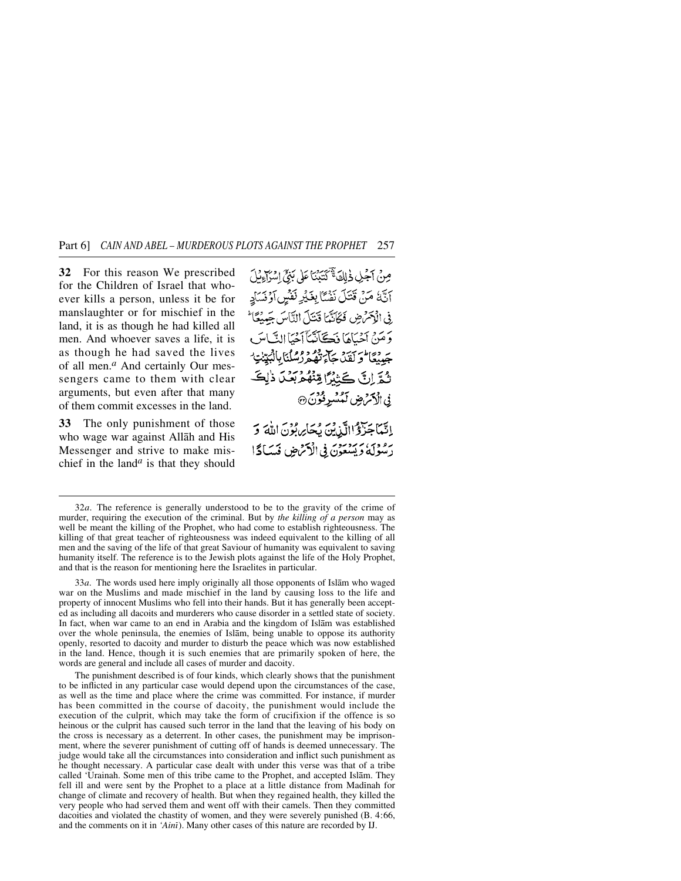**32** For this reason We prescribed for the Children of Israel that whoever kills a person, unless it be for manslaughter or for mischief in the land, it is as though he had killed all men. And whoever saves a life, it is as though he had saved the lives of all men.*<sup>a</sup>* And certainly Our messengers came to them with clear arguments, but even after that many of them commit excesses in the land.

**33** The only punishment of those who wage war against Allåh and His Messenger and strive to make mischief in the land*<sup>a</sup>* is that they should مِنْ آجَلِ ذٰلِكَ يَتَبَيَّنَا عَلَى بَنِيٍّ اسْرَاءِنْلَ اَنَّهُ مَنْ قَتَلَ نَفْسًا بِغَيْرِ نَفْسٍ اَوْنَسَادٍ فِي الْإِمْرَاضِ فَكَانَّهَا قَتَلَ النَّاسَ جَمِيْعًا وَمَنْ آَخْيَاهَا فَكَانَتْنَآ آَخْيَا النَّاسَ جَهدْمَا وَكَقَدْ حَارَبْهِمْ دْرْمْلْنَا بِالْبَيِّنْتِ ۖ تُمَّرِّلُ كَثِيْرًا مِّنْهُمْ بِعَنْ ذَٰلِكَ فى الكَمْ ضِ لَمُسْرِفُوْنَ ۞ إِنَّمَا جَزَوْا الَّذِينَ يُحَارِ بُوْنَ اللَّهَ وَ رَسُوْلَهُ وَيَسْعَوْنَ فِي الْأَمْرَضِ فَسَادًا

33*a*. The words used here imply originally all those opponents of Islåm who waged war on the Muslims and made mischief in the land by causing loss to the life and property of innocent Muslims who fell into their hands. But it has generally been accepted as including all dacoits and murderers who cause disorder in a settled state of society. In fact, when war came to an end in Arabia and the kingdom of Islåm was established over the whole peninsula, the enemies of Islåm, being unable to oppose its authority openly, resorted to dacoity and murder to disturb the peace which was now established in the land. Hence, though it is such enemies that are primarily spoken of here, the words are general and include all cases of murder and dacoity.

The punishment described is of four kinds, which clearly shows that the punishment to be inflicted in any particular case would depend upon the circumstances of the case, as well as the time and place where the crime was committed. For instance, if murder has been committed in the course of dacoity, the punishment would include the execution of the culprit, which may take the form of crucifixion if the offence is so heinous or the culprit has caused such terror in the land that the leaving of his body on the cross is necessary as a deterrent. In other cases, the punishment may be imprisonment, where the severer punishment of cutting off of hands is deemed unnecessary. The judge would take all the circumstances into consideration and inflict such punishment as he thought necessary. A particular case dealt with under this verse was that of a tribe called 'Urainah. Some men of this tribe came to the Prophet, and accepted Islåm. They fell ill and were sent by the Prophet to a place at a little distance from Madinah for change of climate and recovery of health. But when they regained health, they killed the very people who had served them and went off with their camels. Then they committed dacoities and violated the chastity of women, and they were severely punished (B. 4:66, and the comments on it in *'Aini*). Many other cases of this nature are recorded by IJ.

<sup>32</sup>*a*. The reference is generally understood to be to the gravity of the crime of murder, requiring the execution of the criminal. But by *the killing of a person* may as well be meant the killing of the Prophet, who had come to establish righteousness. The killing of that great teacher of righteousness was indeed equivalent to the killing of all men and the saving of the life of that great Saviour of humanity was equivalent to saving humanity itself. The reference is to the Jewish plots against the life of the Holy Prophet, and that is the reason for mentioning here the Israelites in particular.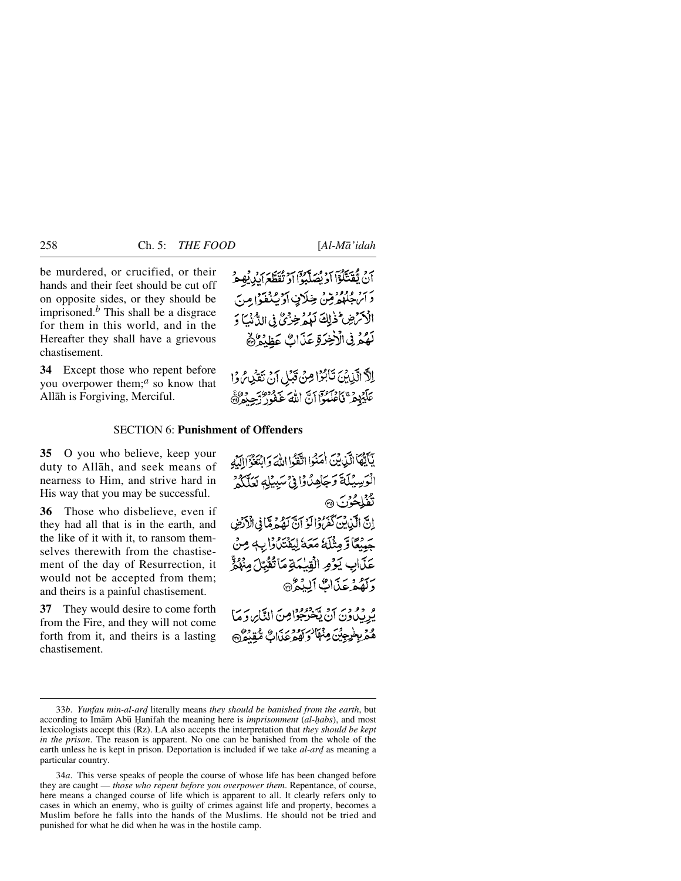be murdered, or crucified, or their hands and their feet should be cut off on opposite sides, or they should be imprisoned.*<sup>b</sup>* This shall be a disgrace for them in this world, and in the Hereafter they shall have a grievous chastisement.

**34** Except those who repent before you overpower them;*<sup>a</sup>* so know that Allåh is Forgiving, Merciful.

أَنْ يُفَتَلَوْاَ أَدْ بِصَلَّبُوْا أَدْ تُقَطَّعَ أَبْدِيْهِ مِرْ دَ الرَّجُلُومُ مِنْ خِلَافٍ أَدْيُدُوْ إِمِنَ الْأَكْرَضِ ۖ ذٰلِكَ لَهُمْ خِزْئٌ فِي الدُّنْبَ وَ لَهُمْ فِى الْأَخِرَةِ عَذَابٌ عَظِيْمٌ

الَّا الَّذِينَ تَأْبُرُا مِنْ قَبْلِ أَنْ تَقَرِّنُ وَا عَلَيْهِمْ فَأَعْلَمُوْآ أَنَّ أَللَّهَ عَفُورٌ دِّجِيْهِ وْلَا

## SECTION 6: **Punishment of Offenders**

**35** O you who believe, keep your duty to Allåh, and seek means of nearness to Him, and strive hard in His way that you may be successful.

**36** Those who disbelieve, even if they had all that is in the earth, and the like of it with it, to ransom themselves therewith from the chastisement of the day of Resurrection, it would not be accepted from them; and theirs is a painful chastisement.

**37** They would desire to come forth from the Fire, and they will not come forth from it, and theirs is a lasting chastisement.

يَكَيْبُهَا الَّذِينَ أُمَنُوا اتَّفَوُّا اللَّهَ وَابْتَغُوَّا اللَّهِ الْوَسِيَلَةَ وَجَاهِدُوْا فِي سَبِيْلِهِ يَعَلَّكُمْ تَفَلِحُونَ ۞ إِنَّ الَّذِينَ كَفَرُدًا لَوْ آنَّ لَهُ مِمَّا فِي الْأَدْضِ حَيْنُعًا وَّمِثْلَهُ مَعَهُ لِيَقْتَلُوْا بِهِ مِنْ عَذَابِ يَوْمِ الْقِيْمَةِ مَاتَقَبَّلَ مِنْهُوَّ وَلَقُمْ عَذَاكَ أَلِيْهِمْ و ووربر مع ووردامن التّابر وَمَا

هُمَّرِ بِخَرِجِينَ مِنْهَا وَكَهُوعَذَابٌ مُّقِيْعُ هُ

34*a*. This verse speaks of people the course of whose life has been changed before they are caught — *those who repent before you overpower them*. Repentance, of course, here means a changed course of life which is apparent to all. It clearly refers only to cases in which an enemy, who is guilty of crimes against life and property, becomes a Muslim before he falls into the hands of the Muslims. He should not be tried and punished for what he did when he was in the hostile camp.

<sup>33</sup>*b. Yunfau min-al-ard* literally means *they should be banished from the earth*, but according to Imām Abū Hanīfah the meaning here is *imprisonment* (*al-habs*), and most lexicologists accept this (Rz). LA also accepts the interpretation that *they should be kept in the prison*. The reason is apparent. No one can be banished from the whole of the earth unless he is kept in prison. Deportation is included if we take *al-ard* as meaning a particular country.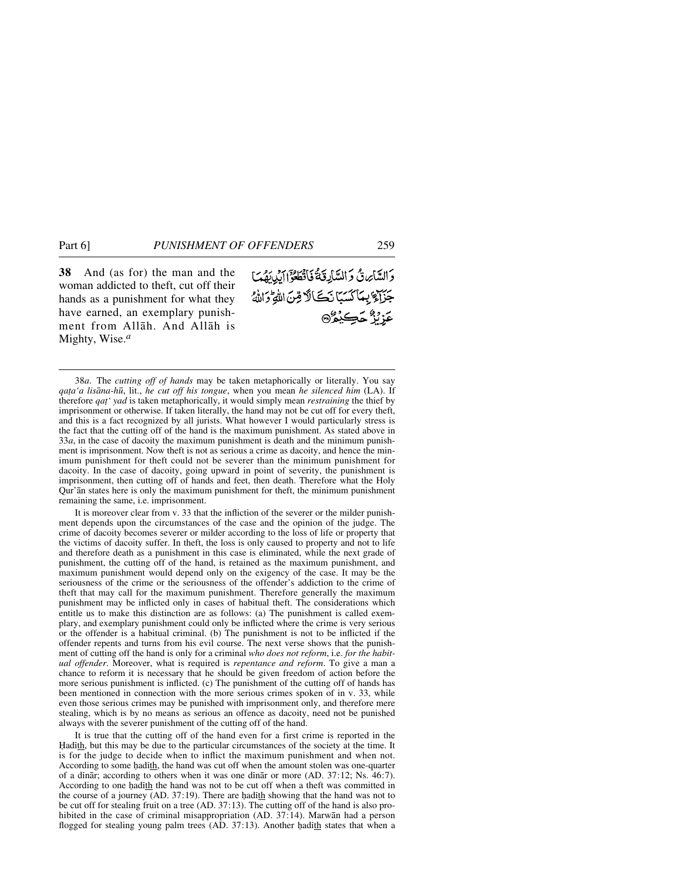**38** And (as for) the man and the woman addicted to theft, cut off their hands as a punishment for what they have earned, an exemplary punishment from Allåh. And Allåh is Mighty, Wise.*<sup>a</sup>*

وَالسَّائِرِينُ وَالسَّابِغَةُ فَأَقْطَعُواۤ إِيْدِيَهُمَا جَزَاءٌ بِمَاكَسَبَا نَكَالًا قِنَ اللَّهِ وَاللَّهُ عَزْنَزٌ حَڪِيْمُرُ۞

38*a*. The *cutting off of hands* may be taken metaphorically or literally. You say *qa∆a'a lisåna-h∂*, lit., *he cut off his tongue*, when you mean *he silenced him* (LA). If therefore *qa∆' yad* is taken metaphorically, it would simply mean *restraining* the thief by imprisonment or otherwise. If taken literally, the hand may not be cut off for every theft, and this is a fact recognized by all jurists. What however I would particularly stress is the fact that the cutting off of the hand is the maximum punishment. As stated above in 33*a*, in the case of dacoity the maximum punishment is death and the minimum punishment is imprisonment. Now theft is not as serious a crime as dacoity, and hence the minimum punishment for theft could not be severer than the minimum punishment for dacoity. In the case of dacoity, going upward in point of severity, the punishment is imprisonment, then cutting off of hands and feet, then death. Therefore what the Holy Qur'ån states here is only the maximum punishment for theft, the minimum punishment remaining the same, i.e. imprisonment.

It is moreover clear from v. 33 that the infliction of the severer or the milder punishment depends upon the circumstances of the case and the opinion of the judge. The crime of dacoity becomes severer or milder according to the loss of life or property that the victims of dacoity suffer. In theft, the loss is only caused to property and not to life and therefore death as a punishment in this case is eliminated, while the next grade of punishment, the cutting off of the hand, is retained as the maximum punishment, and maximum punishment would depend only on the exigency of the case. It may be the seriousness of the crime or the seriousness of the offender's addiction to the crime of theft that may call for the maximum punishment. Therefore generally the maximum punishment may be inflicted only in cases of habitual theft. The considerations which entitle us to make this distinction are as follows: (a) The punishment is called exemplary, and exemplary punishment could only be inflicted where the crime is very serious or the offender is a habitual criminal. (b) The punishment is not to be inflicted if the offender repents and turns from his evil course. The next verse shows that the punishment of cutting off the hand is only for a criminal *who does not reform*, i.e. *for the habitual offender*. Moreover, what is required is *repentance and reform*. To give a man a chance to reform it is necessary that he should be given freedom of action before the more serious punishment is inflicted. (c) The punishment of the cutting off of hands has been mentioned in connection with the more serious crimes spoken of in v. 33, while even those serious crimes may be punished with imprisonment only, and therefore mere stealing, which is by no means as serious an offence as dacoity, need not be punished always with the severer punishment of the cutting off of the hand.

It is true that the cutting off of the hand even for a first crime is reported in the Hadith, but this may be due to the particular circumstances of the society at the time. It is for the judge to decide when to inflict the maximum punishment and when not. According to some hadith, the hand was cut off when the amount stolen was one-quarter of a dinar; according to others when it was one dinar or more  $(AD. 37:12; Ns. 46:7)$ . According to one hadith the hand was not to be cut off when a theft was committed in the course of a journey (AD.  $37:19$ ). There are had $ith$  showing that the hand was not to be cut off for stealing fruit on a tree (AD. 37:13). The cutting off of the hand is also prohibited in the case of criminal misappropriation (AD. 37:14). Marwan had a person flogged for stealing young palm trees  $(AD. 37:13)$ . Another hadith states that when a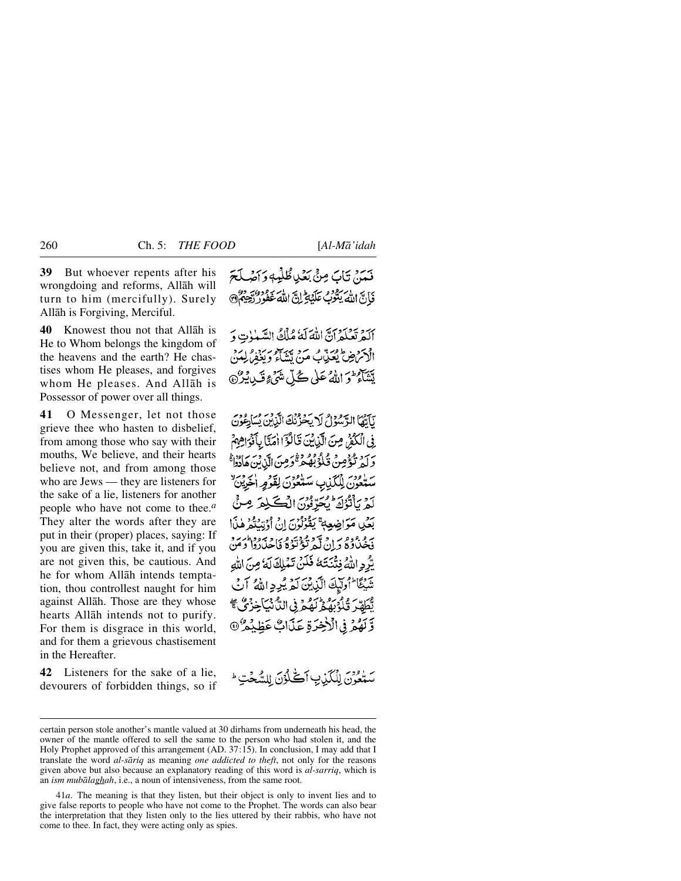**39** But whoever repents after his wrongdoing and reforms, Allåh will turn to him (mercifully). Surely Allåh is Forgiving, Merciful.

**40** Knowest thou not that Allåh is He to Whom belongs the kingdom of the heavens and the earth? He chastises whom He pleases, and forgives whom He pleases. And Allåh is Possessor of power over all things.

**41** O Messenger, let not those grieve thee who hasten to disbelief, from among those who say with their mouths, We believe, and their hearts believe not, and from among those who are Jews — they are listeners for the sake of a lie, listeners for another people who have not come to thee.*<sup>a</sup>* They alter the words after they are put in their (proper) places, saying: If you are given this, take it, and if you are not given this, be cautious. And he for whom Allåh intends temptation, thou controllest naught for him against Allåh. Those are they whose hearts Allåh intends not to purify. For them is disgrace in this world, and for them a grievous chastisement in the Hereafter.

**42** Listeners for the sake of a lie, devourers of forbidden things, so if فَعَدَ بِنَابَ مِنْيَ بَعْيا ظُلْمِهِ وَأَصْلَحَ فَأَنَّ اللَّهَ يَتُوْبُ عَلَيْهِ ۚ إِنَّ اللَّهَ غَفْر

أَلَمْ تَعْلَمْ آنَّ اللَّهَ لَهُ مُلْكُ السَّنْوٰتِ وَ الْأَكْرَاضِ يُعَذِّبُ مَنْ يَبَيِّرُهُ وَيَذَمِّنُ لَهُنَّ يَتَنَاهُ مِنَ اللَّهُ عَلَى كُلِّ شَيْءٍ قَبِي يُرْنَ

لَأَتْهَا الرَّسُوُلُ لَا يَحْزُنُكَ الَّذِينَ يُسَاعِوُنَ ِ فِي الْكُفْرُ مِنَ الَّذِينَ قَالَوْٓ ٰاٰ مَنَّا بِأَفْوَاهِهِمْ رسو وعرض قُلُوْبُهُمْ قُرِمِنِ الَّذِينِ هَادُوا ۚ<br>وليد تُؤْمِنُ قُلُوْبُهُمْ قَرِمِنَ الَّذِينِ هَادُوا ساور بالكذب سلوري لقور الجزين لَّهُ بِٱنْوُكَ بِمَحَّدِّنُونَ الْكَلِمَ مِنْ بَعْيِ مَوَاضِعِهِ ۚ يَقُوْلُونَ إِنْ أُوْتِيَتُمْ هٰذَا به دوه به د مهمونه وبرو برود در.<br>فخصاوه د ن که تو تؤی فاحلادا د من يّْرُدِ اللَّهُ فِتْنَتَتَهُ فَلَنْ تَمْلِكَ لَهُ مِنَ اللَّهِ تَنبِيًّا إِذْ إِلَيْكَ الَّذِينَ لَمْ يُدِدِ اللَّهُ آنَ تَّطَهَّرَ قُلُوْبَهُمْ لَهُمْ فِي اللَّهُ نَبَاجِهُ فِي صَحِّ وَّلَهُمْ فِي الْأَخِيَرَةِ عَذَاكٌ عَظِيْدِهُ ۞

سَتْعُوِّنَ لِلْكَيْنِ أَكْلُوْنَ لِلسَّحْتِ ۚ

certain person stole another's mantle valued at 30 dirhams from underneath his head, the owner of the mantle offered to sell the same to the person who had stolen it, and the Holy Prophet approved of this arrangement (AD. 37:15). In conclusion, I may add that I translate the word *al-såriq* as meaning *one addicted to theft*, not only for the reasons given above but also because an explanatory reading of this word is *al-sarriq*, which is an *ism mubålaghah*, i.e., a noun of intensiveness, from the same root.

<sup>41</sup>*a*. The meaning is that they listen, but their object is only to invent lies and to give false reports to people who have not come to the Prophet. The words can also bear the interpretation that they listen only to the lies uttered by their rabbis, who have not come to thee. In fact, they were acting only as spies.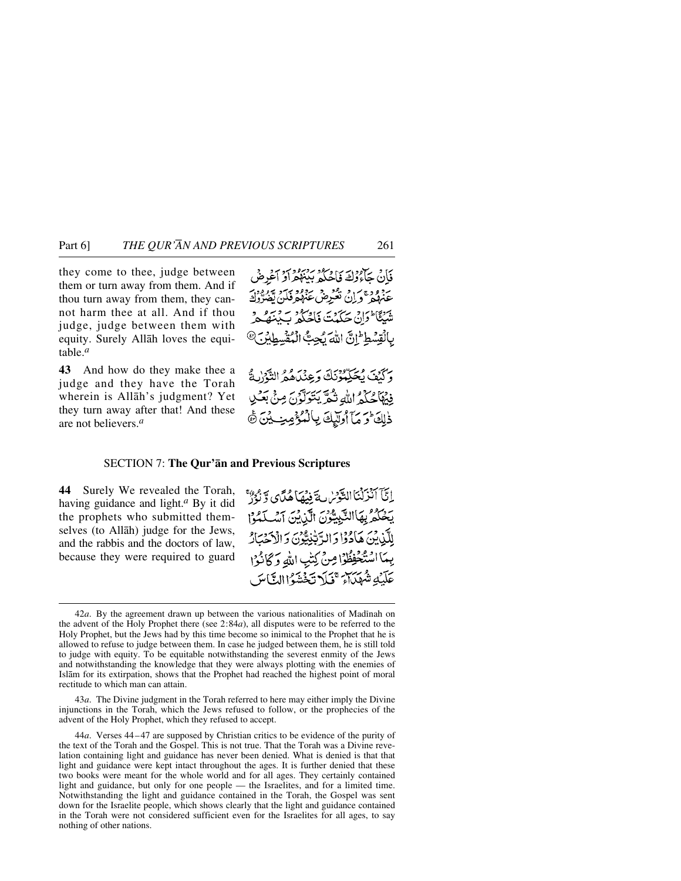they come to thee, judge between them or turn away from them. And if thou turn away from them, they cannot harm thee at all. And if thou judge, judge between them with equity. Surely Allåh loves the equitable.*<sup>a</sup>*

**43** And how do they make thee a judge and they have the Torah wherein is Allåh's judgment? Yet they turn away after that! And these are not believers.*<sup>a</sup>*

فَأَنْ جَأْءُوْكَ فَإِجْرَاءُ بِهِ بِهِ وَمَرْدِمٍ أَوْ أَعْرِضْ عَنْهُمْ وَإِنْ تَعْزِمْنُ عَنْهُمْ فَلَنْ تَعْبُرُوْ } مِنْبِيًّا الْمَانِّي حَكَمْتَ فَاصْلُو سَرْمِيْتِ مِنْ مَنْ مِنْ مِنْ مِنْ مِنْ مِنْ بِالْقِسْطِ إِنَّ اللَّهَ يُحِبُّ الْمُقْسِطِيْنَ®

وَكَنْفَ يُحَكِّمُونَكَ وَعِنْدَهُمْ التَّوْالثَّ فِيهَا حُذْمُ اللَّهِ نَثْقَرَ بِتَوَلَّوْنَ مِنْ بَعْنِ ذَلِكَ وَمَا أُولَيْكَ بِالْمُؤْمِنِ بِنَ ثَمَّ

### SECTION 7: **The Qur'ån and Previous Scriptures**

**44** Surely We revealed the Torah, having guidance and light.*<sup>a</sup>* By it did the prophets who submitted themselves (to Allåh) judge for the Jews, and the rabbis and the doctors of law, because they were required to guard

إِنَّيَّ أَنْزَلْنَا التَّوْسُ بِهَ فِيهِمَا هُدَّى وَّ نَوْرٌ يخْلُمْ بِهَاالتَّبِيَّوْنَ الَّيْ بَنَ آسَلَحُوْا لِلَّيْنِينَ هَادُوَّا وَالرَّبْنِيُّيُّونَ وَالْأَحْبَارُ يِمَا اسْتَخْفِظُوْا صِنْ كِتْبِ اللَّهِ وَكَانُوْا عَلَيْكِ شَهْيَاتِهِ \*فَيَلَا تَخْشَوْاالِثَّاسَ

43*a*. The Divine judgment in the Torah referred to here may either imply the Divine injunctions in the Torah, which the Jews refused to follow, or the prophecies of the advent of the Holy Prophet, which they refused to accept.

<sup>42</sup>*a*. By the agreement drawn up between the various nationalities of Madinah on the advent of the Holy Prophet there (see 2:84*a*), all disputes were to be referred to the Holy Prophet, but the Jews had by this time become so inimical to the Prophet that he is allowed to refuse to judge between them. In case he judged between them, he is still told to judge with equity. To be equitable notwithstanding the severest enmity of the Jews and notwithstanding the knowledge that they were always plotting with the enemies of Islåm for its extirpation, shows that the Prophet had reached the highest point of moral rectitude to which man can attain.

<sup>44</sup>*a*. Verses 44–47 are supposed by Christian critics to be evidence of the purity of the text of the Torah and the Gospel. This is not true. That the Torah was a Divine revelation containing light and guidance has never been denied. What is denied is that that light and guidance were kept intact throughout the ages. It is further denied that these two books were meant for the whole world and for all ages. They certainly contained light and guidance, but only for one people — the Israelites, and for a limited time. Notwithstanding the light and guidance contained in the Torah, the Gospel was sent down for the Israelite people, which shows clearly that the light and guidance contained in the Torah were not considered sufficient even for the Israelites for all ages, to say nothing of other nations.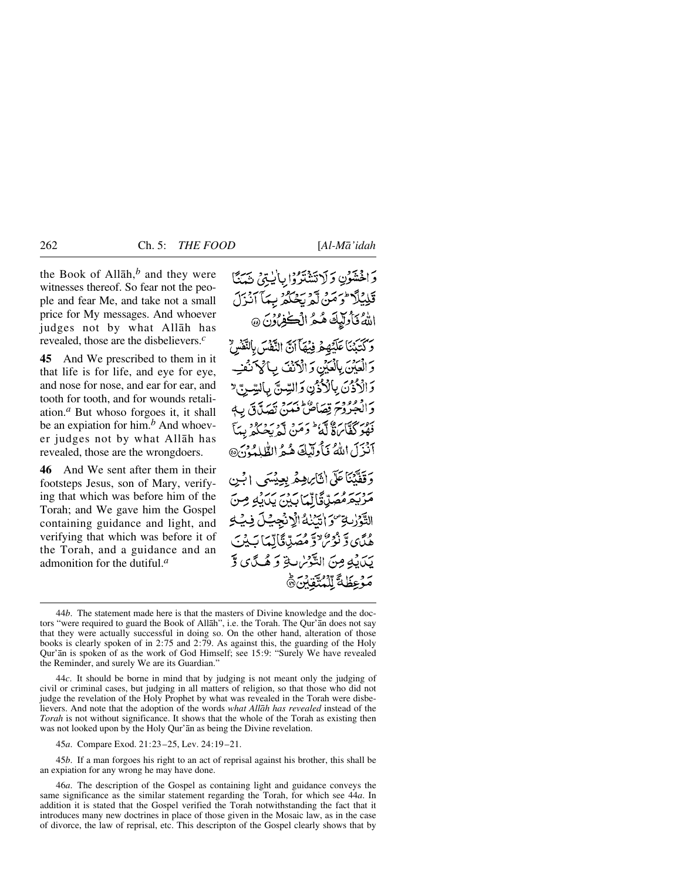the Book of Allåh,*<sup>b</sup>* and they were witnesses thereof. So fear not the people and fear Me, and take not a small price for My messages. And whoever judges not by what Allåh has revealed, those are the disbelievers.*<sup>c</sup>*

**45** And We prescribed to them in it that life is for life, and eye for eye, and nose for nose, and ear for ear, and tooth for tooth, and for wounds retaliation.*<sup>a</sup>* But whoso forgoes it, it shall be an expiation for him.*<sup>b</sup>* And whoever judges not by what Allåh has revealed, those are the wrongdoers.

**46** And We sent after them in their footsteps Jesus, son of Mary, verifying that which was before him of the Torah; and We gave him the Gospel containing guidance and light, and verifying that which was before it of the Torah, and a guidance and an admonition for the dutiful.*<sup>a</sup>*

وَاخْشَوْنِ وَلَاتَشْتَرُوْا بِالْيَتِنْ شَكَّا قَلِيْلًا ثُوصَنْ لَّهُ بَحْكُمْ بِيِمَآ أَنْزَلَ اللَّهُ فَأُولَيْكَ هُكُّ الْكَنْفِرُونَ ۞ رِ كَتَيْنَا عَلَيْهِمْ فِيْهَا آنَّ النَّفْسَ بِالنَّفْسُ وَالْعَيْنَ بِالْعَيْنِ وَالْأَنْفَ بِالْمَ نَفْتِ وَالْأَذْنَ بِالْأَذْنِ وَالسِّنَّ بِالسِّرِيَّ وَالْجُرُوْحَ قِصَاصٌ فَيَمَنَّ نَصَلَّ قَ بِ فَقُوْ كَفَّابَٰٓءٌٗ لَّهُ ۚ وَمَنْ لَّهُ بَحْكُمْ بِيَآ آنَزَلَ اللَّهُ فَأُولَيْكَ هُ هُ الطُّلِمُونَ@ وَقَفَّيْنَاعَلَى إِنَّابِرُهِمَّرِ بِعِيْسَى إِبْنِ حوية ومرياتًا لِّمَا بِهِينَ يَدَايُهِ مِنَ التَّوْرٰبِةِ ۚ وَ اٰتَيۡنَٰهُ الۡرَّنۡجِيَـٰلَ فِيَّةِ هُدَّى وَنُؤْمَنٌ وَمُصَدَّدَنَّالِّمَا بَِيْنَ بَدَابِهِ مِنَ التَّوْسُ بِهِ وَ هُـكَ يَ وَّ مَوْعِظَةَ لِّلْمُتَّقَابِنَ وَ

45*a*. Compare Exod. 21:23–25, Lev. 24:19–21.

45*b*. If a man forgoes his right to an act of reprisal against his brother, this shall be an expiation for any wrong he may have done.

<sup>44</sup>*b*. The statement made here is that the masters of Divine knowledge and the doctors "were required to guard the Book of Allåh", i.e. the Torah. The Qur'ån does not say that they were actually successful in doing so. On the other hand, alteration of those books is clearly spoken of in 2:75 and 2:79. As against this, the guarding of the Holy Qur'ån is spoken of as the work of God Himself; see 15:9: "Surely We have revealed the Reminder, and surely We are its Guardian."

<sup>44</sup>*c*. It should be borne in mind that by judging is not meant only the judging of civil or criminal cases, but judging in all matters of religion, so that those who did not judge the revelation of the Holy Prophet by what was revealed in the Torah were disbelievers. And note that the adoption of the words *what Allåh has revealed* instead of the *Torah* is not without significance. It shows that the whole of the Torah as existing then was not looked upon by the Holy Qur'ån as being the Divine revelation.

<sup>46</sup>*a*. The description of the Gospel as containing light and guidance conveys the same significance as the similar statement regarding the Torah, for which see 44*a*. In addition it is stated that the Gospel verified the Torah notwithstanding the fact that it introduces many new doctrines in place of those given in the Mosaic law, as in the case of divorce, the law of reprisal, etc. This descripton of the Gospel clearly shows that by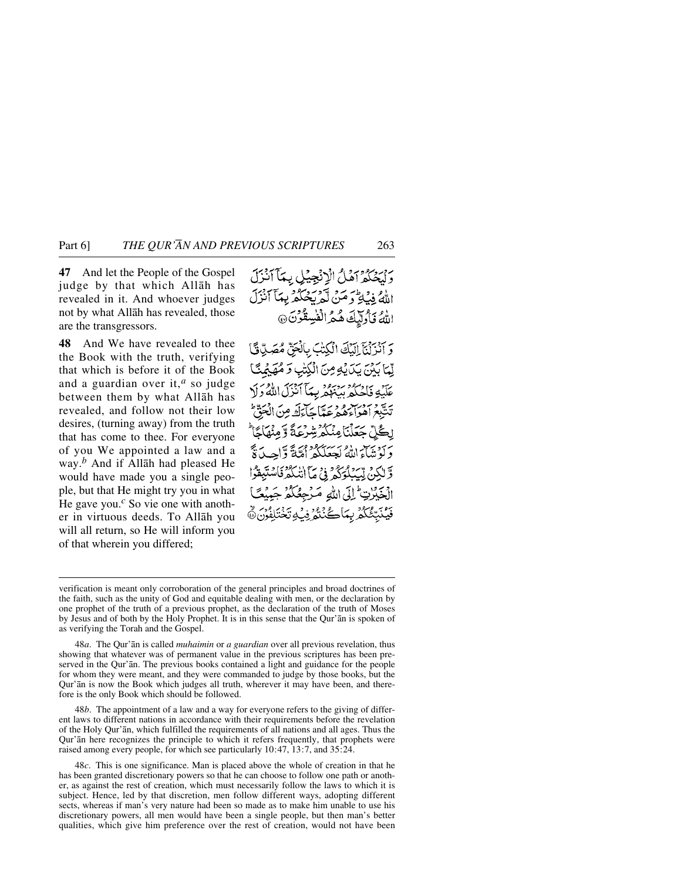Part 6] *THE QUR'ÅN AND PREVIOUS SCRIPTURES* 263

**47** And let the People of the Gospel judge by that which Allåh has revealed in it. And whoever judges not by what Allåh has revealed, those are the transgressors.

**48** And We have revealed to thee the Book with the truth, verifying that which is before it of the Book and a guardian over it,*<sup>a</sup>* so judge between them by what Allåh has revealed, and follow not their low desires, (turning away) from the truth that has come to thee. For everyone of you We appointed a law and a way.*<sup>b</sup>* And if Allåh had pleased He would have made you a single people, but that He might try you in what He gave you.*<sup>c</sup>* So vie one with another in virtuous deeds. To Allåh you will all return, so He will inform you of that wherein you differed;

وليخلفه اهلُ الْإِنْجِيلِ بِمَآانِزَلَ اللهُ فِي فَاحٍ وَهَنْ لَعِ بِحُكُمْ بِهِيَأَ أَنْزَلَ اللهُ فَأُولَّيْكَ هُمُ الْفُسِقُونَ @

وَ آَنْزَلْنَآ إِلَيْكَ الْكِتْبَ بِالْحَقّ مُصَلِّيقًا لَّمَا بَيْنَ بِيَالَهُ مِنَ الْكِتْبِ وَحُهَجُتًا عَلَيْهِ فَأَحِيدُ بِبِهِ مِنْ مِنْ الْمَدْيَنَ اللَّهُ دَ لَا تَتَبَّعَ آهُوَاءِهُمْ عَيْبًا حَآءَكَ مِنَ الْمَوَّبُّ ۣڸڴڵۣۨڄؘۼڷڹؘٳڡۣڹٙػۮۺۣڔۛۼۘڎٞٷۜڡۣڹۿٲڲٲ دَ نَوْنَيْهَا اللَّهُ لَجِعَلَكُمْ أُمَّةً وَّاحِيدَةً وَّ لِكُنِّ لِّبَدَٰهُ مُرَّمَّ وَمِنَا إِنْبَكَٰهُ فَأَسْتَبِقُوا الْخَيْرُتِ إِلَى اللَّهِ مَـرْجِعُكُمْ جَبِيّ فَيُنْبَّعُكُمُ بِيَاكُنُنُو فِيْ تَخْتَلِفُوْنَ

verification is meant only corroboration of the general principles and broad doctrines of the faith, such as the unity of God and equitable dealing with men, or the declaration by one prophet of the truth of a previous prophet, as the declaration of the truth of Moses by Jesus and of both by the Holy Prophet. It is in this sense that the Qur'ån is spoken of as verifying the Torah and the Gospel.

48*a*. The Qur'ån is called *muhaimin* or *a guardian* over all previous revelation, thus showing that whatever was of permanent value in the previous scriptures has been preserved in the Qur'ån. The previous books contained a light and guidance for the people for whom they were meant, and they were commanded to judge by those books, but the Qur'ån is now the Book which judges all truth, wherever it may have been, and therefore is the only Book which should be followed.

48*b*. The appointment of a law and a way for everyone refers to the giving of different laws to different nations in accordance with their requirements before the revelation of the Holy Qur'ån, which fulfilled the requirements of all nations and all ages. Thus the Qur'ån here recognizes the principle to which it refers frequently, that prophets were raised among every people, for which see particularly 10:47, 13:7, and 35:24.

48*c*. This is one significance. Man is placed above the whole of creation in that he has been granted discretionary powers so that he can choose to follow one path or another, as against the rest of creation, which must necessarily follow the laws to which it is subject. Hence, led by that discretion, men follow different ways, adopting different sects, whereas if man's very nature had been so made as to make him unable to use his discretionary powers, all men would have been a single people, but then man's better qualities, which give him preference over the rest of creation, would not have been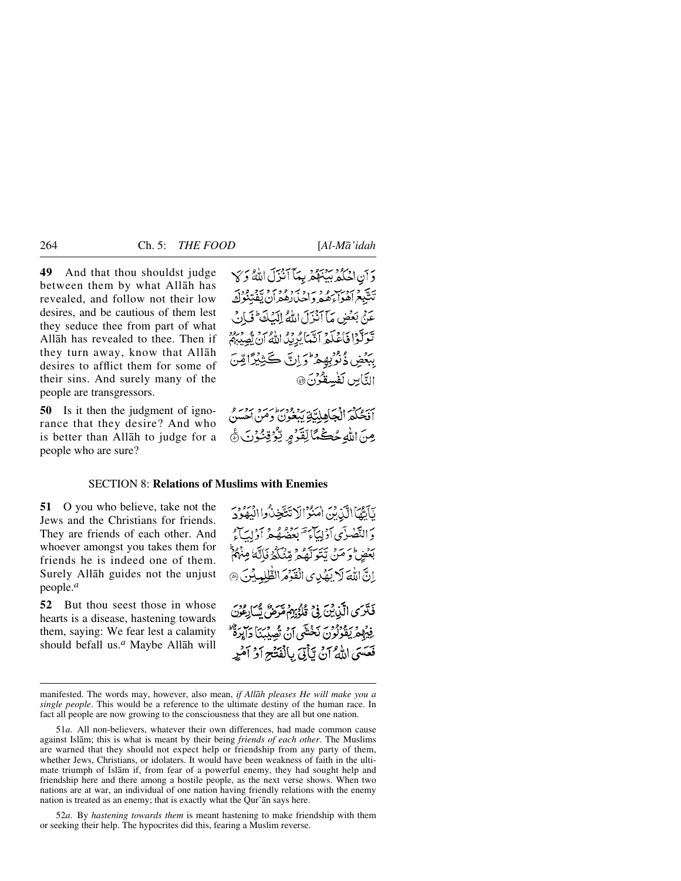**49** And that thou shouldst judge between them by what Allåh has revealed, and follow not their low desires, and be cautious of them lest they seduce thee from part of what Allåh has revealed to thee. Then if they turn away, know that Allåh desires to afflict them for some of their sins. And surely many of the people are transgressors.

**50** Is it then the judgment of ignorance that they desire? And who is better than Allåh to judge for a people who are sure?

وَ أَنِ اخْتُلْهِ بِيَنَهُمْ بِيَآ أَنْزَلَ اللَّهُ وَ ﴾ تشيغ امرب و د به د و د برد ته د .<br>تشيغ اهواءهم واحدادهم ان تفتنوك عَنْيُ بَعْضٍ مَأَ آنَزَلَ إِمَاهُمُ إِلَيْكَ فَيَأْدِي تَعَرَّقُوْا فَأَعْلَمُهُ أَنَّمَا يُرِيدُ اللَّهُ أَنْ يُصِيبِهُمْ بِبَعْضِ ذُنُوْبِهِمْ وَإِنَّ كَثِيْرًا مِّنَ التَّاسِ لَفْسِقْوُنَ ۞

أَفَحُكُمُ الْجَاهِلِيَّةِ يَبْغُونُ وَمَنْ احْسَنُ عِنَ اللَّهُ حُڪُمًّا لِّقَدُّهِ لِّيُؤْقِنُونَ ۞

# SECTION 8: **Relations of Muslims with Enemies**

**51** O you who believe, take not the Jews and the Christians for friends. They are friends of each other. And whoever amongst you takes them for friends he is indeed one of them. Surely Allåh guides not the unjust people.*<sup>a</sup>*

**52** But thou seest those in whose hearts is a disease, hastening towards them, saying: We fear lest a calamity should befall us.*<sup>a</sup>* Maybe Allåh will

نَأَتَّهَا الَّذِبْنَ امْنُوْالَاتِّتَخِذْكُوا الْبَعُوُدَ وَالتَّصْرَى أَدْلِيَآءَ مَهْ بِمَصْلُهُ مِّهُ أَدْلِيَبَاءُ بَعْضُ وَ مَنْ تَتَوَلَّهُمْ مِّنْكُمْ فَإِنَّهُ مِنْهُمْ اِنَّ اللَّهَ لَا يَهْدِى الْقَوْمَ الطَّلِيِيِيْنَ ۞ فَتَرَى الَّذِينَ فِي قُدُّبِهِمْ مَدَّضٌ يُسَابِعُنَ فِيْهِلْمُهُ يَقْوَلُونَ نَخْشَى أَنْ تُصِيْبُنَا دَايِرَةٌ ۚ فَعَسَىَ اللَّهُ آنُ يَبَأَتِيَ بِالْفَتْتَةِ آدُ آمُيْهِ

52*a*. By *hastening towards them* is meant hastening to make friendship with them or seeking their help. The hypocrites did this, fearing a Muslim reverse.

manifested. The words may, however, also mean, *if Allåh pleases He will make you a single people*. This would be a reference to the ultimate destiny of the human race. In fact all people are now growing to the consciousness that they are all but one nation.

<sup>51</sup>*a*. All non-believers, whatever their own differences, had made common cause against Islåm; this is what is meant by their being *friends of each other*. The Muslims are warned that they should not expect help or friendship from any party of them, whether Jews, Christians, or idolaters. It would have been weakness of faith in the ultimate triumph of Islåm if, from fear of a powerful enemy, they had sought help and friendship here and there among a hostile people, as the next verse shows. When two nations are at war, an individual of one nation having friendly relations with the enemy nation is treated as an enemy; that is exactly what the Qur'ån says here.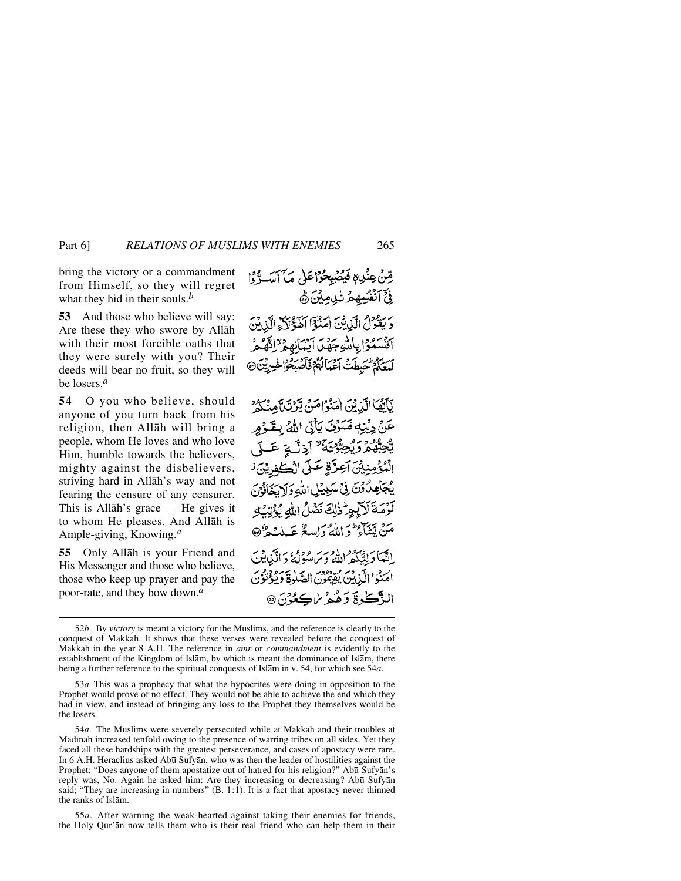bring the victory or a commandment from Himself, so they will regret what they hid in their souls.*<sup>b</sup>*

**53** And those who believe will say: Are these they who swore by Allåh with their most forcible oaths that they were surely with you? Their deeds will bear no fruit, so they will be losers.*<sup>a</sup>*

**54** O you who believe, should anyone of you turn back from his religion, then Allåh will bring a people, whom He loves and who love Him, humble towards the believers, mighty against the disbelievers, striving hard in Allåh's way and not fearing the censure of any censurer. This is Allåh's grace — He gives it to whom He pleases. And Allåh is Ample-giving, Knowing.*<sup>a</sup>*

**55** Only Allåh is your Friend and His Messenger and those who believe, those who keep up prayer and pay the poor-rate, and they bow down.*<sup>a</sup>*

قِنْ عِنْدِهِ فَيُصْبِحُوْاعَلِي مَآآسَةٌ وَا فِيَّ ٱنْفُسِهِمْ نْزِيِيْنَ ﴾ وَيَقُولُ الَّذِينَ امَنُوْا الْفَؤُلاَ الَّذِينَ أقسموا بالله جهل أيبانه ولالقمر سر مؤلمه يدوير فود بسر معنى الخيبرين

بَأَيُّهَا الَّذِيْنَ امْنُوْامَنُ يَّرْنَبَّ مِنْكُوْ عَنْ دِيۡنِهٖ فَسَوۡفَ يَأۡنَىٰ اللَّهُ بِقَدۡوَمِ ديم و محمد المحمد المحمد المحمد المحمد المحمد المحمد المحمد المحمد المحمد المحمد المحمد المحمد المحمد الْمُؤْمِنِيْنَ آعِزَّةٍ عَلَى الْكَفِرِيْنَ ن يُجَلِّهُ كُوِّنَ فِي سَيِّيِّلِ اللَّهِ وَلَا يَخَافُوْنَ لَوْمَةَ لَاَيِجِرْ ذٰلِكَ نَضْلُ اللهِ يُؤْتِيُّ مَنْ يَتَفَاءُ وَ اللَّهُ وَاسِعٌ عَبِيلِيْهِ وَهِ اِنَّبْمَا دَانِيَّكُمُّ اللَّهُ وَسَ مُؤْمِرُ وَالَّذِينَ الْهَنُوا الَّذِينَ يُقِيْفُونَ الصَّلْوَةَ وَيُؤْتُوُنَ الذَّكْوةَ دَهُمْ سُڪِعُوْنَ @

55*a*. After warning the weak-hearted against taking their enemies for friends, the Holy Qur'ån now tells them who is their real friend who can help them in their

<sup>52</sup>*b*. By *victory* is meant a victory for the Muslims, and the reference is clearly to the conquest of Makkah. It shows that these verses were revealed before the conquest of Makkah in the year 8 A.H. The reference in *amr* or *commandment* is evidently to the establishment of the Kingdom of Islåm, by which is meant the dominance of Islåm, there being a further reference to the spiritual conquests of Islåm in v. 54, for which see 54*a*.

<sup>53</sup>*a* This was a prophecy that what the hypocrites were doing in opposition to the Prophet would prove of no effect. They would not be able to achieve the end which they had in view, and instead of bringing any loss to the Prophet they themselves would be the losers.

<sup>54</sup>*a*. The Muslims were severely persecuted while at Makkah and their troubles at Madinah increased tenfold owing to the presence of warring tribes on all sides. Yet they faced all these hardships with the greatest perseverance, and cases of apostacy were rare. In 6 A.H. Heraclius asked Ab∂ Sufyån, who was then the leader of hostilities against the Prophet: "Does anyone of them apostatize out of hatred for his religion?" Abū Sufyān's reply was, No. Again he asked him: Are they increasing or decreasing? Abū Sufyan said; "They are increasing in numbers" (B. 1:1). It is a fact that apostacy never thinned the ranks of Islåm.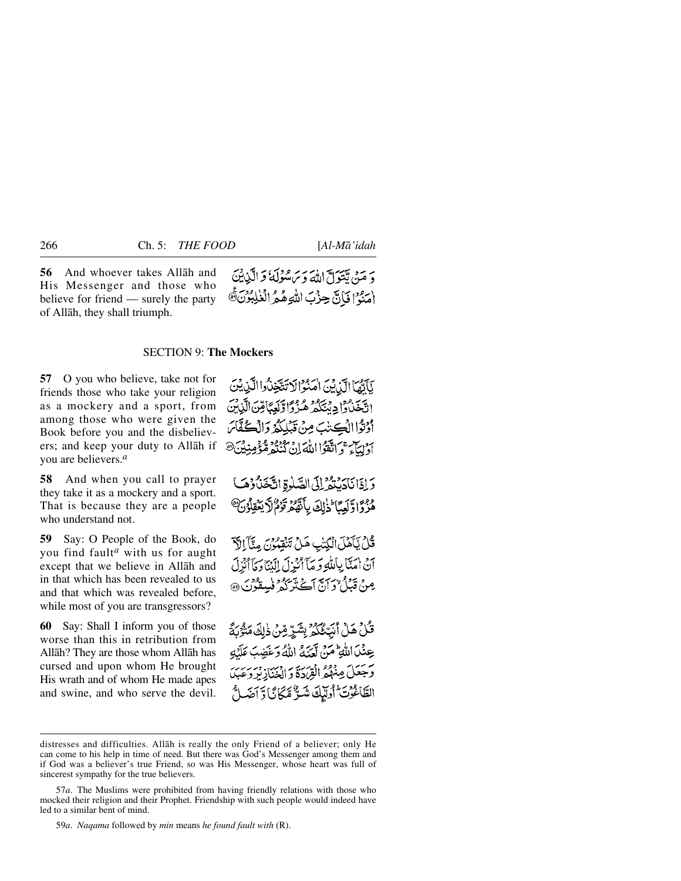**56** And whoever takes Allåh and His Messenger and those who believe for friend — surely the party of Allåh, they shall triumph.

دَ مَنْ تَتَوَلَّ اللَّهَ دَيْرَ مُؤْلَمَةُ وَالَّذِينَ اٰ مَدَّدٌ الْمَالَ حِزْبَ اللَّهِ هُمُ الْغُلِّبُوْنَ@

### SECTION 9: **The Mockers**

**57** O you who believe, take not for friends those who take your religion as a mockery and a sport, from among those who were given the Book before you and the disbelievers; and keep your duty to Allåh if you are believers.*<sup>a</sup>*

**58** And when you call to prayer they take it as a mockery and a sport. That is because they are a people who understand not.

**59** Say: O People of the Book, do you find fault*<sup>a</sup>* with us for aught except that we believe in Allåh and in that which has been revealed to us and that which was revealed before, while most of you are transgressors?

**60** Say: Shall I inform you of those worse than this in retribution from Allåh? They are those whom Allåh has cursed and upon whom He brought His wrath and of whom He made apes and swine, and who serve the devil.

بَأَيَّهَا الَّذِينَ امْنُوْالَا تَتَّخِذُوا الَّذِيْنَ اقْتَحْنَاوْا دِنْتَكُمْ هُذْ وَاوَّلَعِبَاقِينَ الَّذِبْنَ أَوْثَوْا الْكِتْنِبَ مِنْ قَبْلِكُمْ وَالْكُفَّاسَ أَدْنِيَا ۖ وَ اتَّقَوَّا اللَّهَ إِنْ كَنُنُوْهُ مُّؤُمِّنِيْنَ@

وَإِذَانَادَيْتُمْ إِلَى الصَّلْوةِ اتَّخَذُكُوهَا هُزُوَّا وَّلَعِبَّا ۖ ذَٰٓلِكَ بِأَنَّهُمۡ قَوْمُ لَّا يَعۡقِلُوۡنَ ﴾

قُلْ يَأْمَلَ الْكِتْبِ هَلْ تَنْقِمُونَ مِثَّآَ إِلَّ آنْ اٰمَتَا بِاللَّهِ وَ مَآأَنْزِلَ إِلَيْنَاوَ مَآأَنْزِلَ عِنْ قَبْلُ وَأَنَّ آجُ نَبِيَّكُمْ فَسِقُونَ ۞

قُلْ هَلْ أَنَتِّگَكُمْ بِشَرِّ مِّنْ ذٰلِكَ مَنْهُ بَدًّ عِنْدَ اللَّهِ مَنْ آمَنَهُ اللَّهُ وَغَضِبَ عَلَيْهِ وَجَعَلَ مِنْهُمُ الْقِرَرَةَ وَ الْخَنَازِيْرِ وَعَبِدَ الطَّاغُونَ أُولَيْكَ شَدٌّ مَّكَانَا وَّآصَلٌ

59*a*. *Naqama* followed by *min* means *he found fault with* (R).

distresses and difficulties. Allåh is really the only Friend of a believer; only He can come to his help in time of need. But there was God's Messenger among them and if God was a believer's true Friend, so was His Messenger, whose heart was full of sincerest sympathy for the true believers.

<sup>57</sup>*a*. The Muslims were prohibited from having friendly relations with those who mocked their religion and their Prophet. Friendship with such people would indeed have led to a similar bent of mind.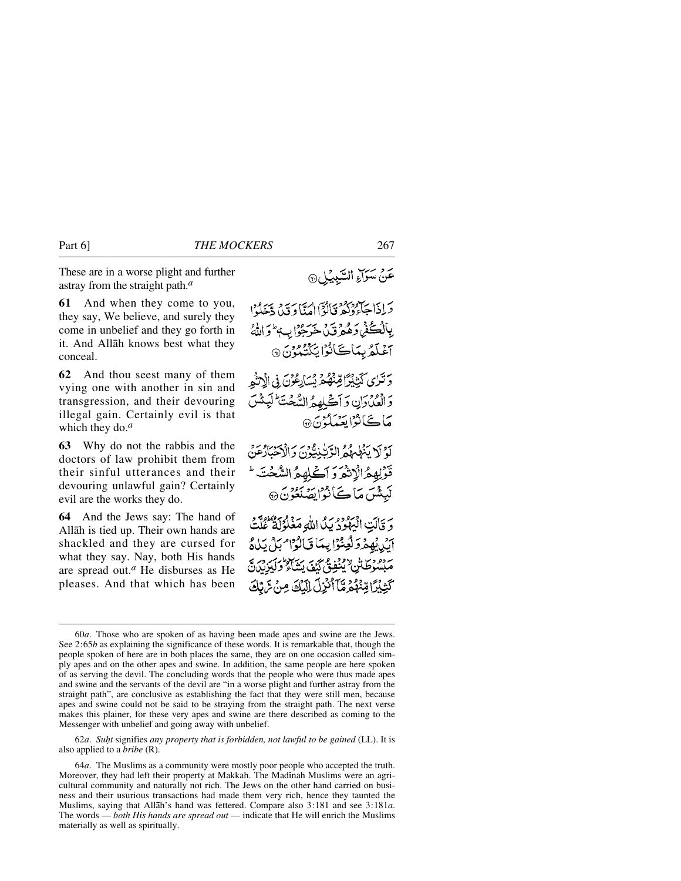These are in a worse plight and further astray from the straight path.*<sup>a</sup>*

**61** And when they come to you, they say, We believe, and surely they come in unbelief and they go forth in it. And Allåh knows best what they conceal.

**62** And thou seest many of them vying one with another in sin and transgression, and their devouring illegal gain. Certainly evil is that which they do.*<sup>a</sup>*

**63** Why do not the rabbis and the doctors of law prohibit them from their sinful utterances and their devouring unlawful gain? Certainly evil are the works they do.

**64** And the Jews say: The hand of Allåh is tied up. Their own hands are shackled and they are cursed for what they say. Nay, both His hands are spread out.*<sup>a</sup>* He disburses as He pleases. And that which has been

دَادَا جَآءِدَ مِنْ إِبْرَانِ امْنَا دَيْنَ دّْخَلُوا بِبِالۡڪُفۡمِ دَهُمۡوَنَىۡ خَرَجُوۡٓابِ ۖ وَاللَّهُۚ آغَلَّهُ بِمَاكَانُوْا يُكَنُّبُونَ @ وَتَزَى كَيْنِيْزَا قِنْهُ مِ يُسَارِعُوْنَ فِي الْإِنْثِمِ وَالْعُدُدَانِ وَآَكَىٰلِهِمُّ السُّعْتَ لَيَنْثَسَ **مَاڪَانُڑايِعَيٰٓلُونَ۞** كَوْلَا يَنْهَلْهُمُ الرَّبْنِيْتِونَ وَالْأَحْبَارُهَنَّ قْرْلِهِمُّالْإِنْهُرَ وَ اَكْلِهِمُّ السُّخْتَ ۚ لَبِيَثْسَ مَا كَأَنْزَا يَصَنَّعُونَ ۞ وَ قَالَتِ الْبَهْوَدُ بِيَكَ اللَّهِ مَغْلُوُلَةٌ عُلَّيْتُ أَيْدِيْهِمْ وَلَعِنُوْا بِيِّيَا قَالَوْا مِنْ يَدْهُ مْ بِسُوطَتْنِ إِيْنَفِقَ كَيْفَ يَشَاءُ وَلَيَزِيْنَ مَّ كَثِبُرًا قِنْهُمُ قَاَّأَنْزِلَ لِلْلَكَ مِنْ تَرَبَّكَ

62*a*. *Suƒt* signifies *any property that is forbidden, not lawful to be gained* (LL). It is also applied to a *bribe* (R).

عَنْ سَوَاءِ السَّبِيْلِ۞

<sup>60</sup>*a*. Those who are spoken of as having been made apes and swine are the Jews. See 2:65*b* as explaining the significance of these words. It is remarkable that, though the people spoken of here are in both places the same, they are on one occasion called simply apes and on the other apes and swine. In addition, the same people are here spoken of as serving the devil. The concluding words that the people who were thus made apes and swine and the servants of the devil are "in a worse plight and further astray from the straight path", are conclusive as establishing the fact that they were still men, because apes and swine could not be said to be straying from the straight path. The next verse makes this plainer, for these very apes and swine are there described as coming to the Messenger with unbelief and going away with unbelief.

<sup>64</sup>*a*. The Muslims as a community were mostly poor people who accepted the truth. Moreover, they had left their property at Makkah. The Madinah Muslims were an agricultural community and naturally not rich. The Jews on the other hand carried on business and their usurious transactions had made them very rich, hence they taunted the Muslims, saying that Allåh's hand was fettered. Compare also 3:181 and see 3:181*a*. The words — *both His hands are spread out* — indicate that He will enrich the Muslims materially as well as spiritually.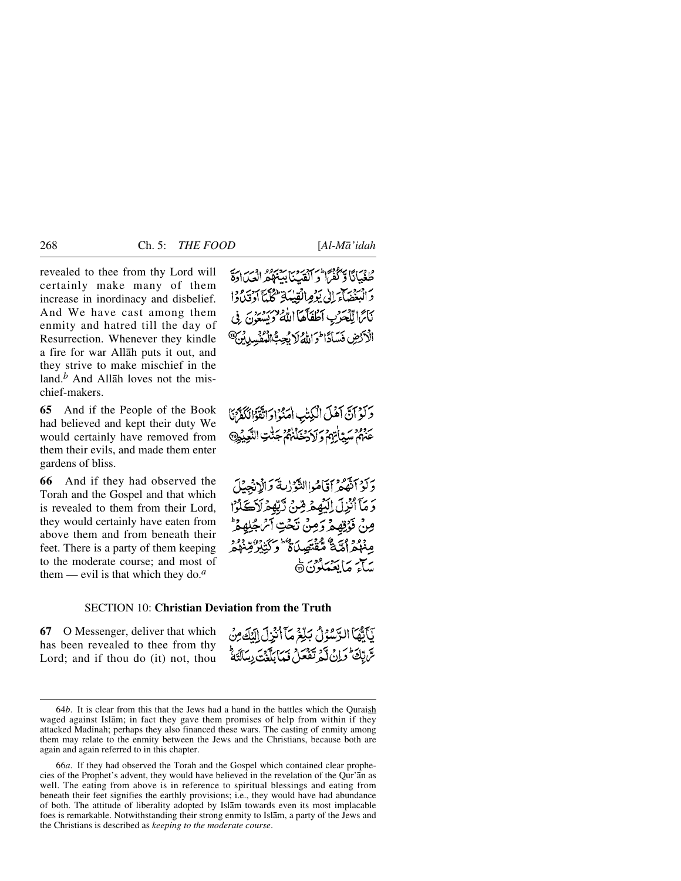revealed to thee from thy Lord will certainly make many of them increase in inordinacy and disbelief. And We have cast among them enmity and hatred till the day of Resurrection. Whenever they kindle a fire for war Allåh puts it out, and they strive to make mischief in the land.*<sup>b</sup>* And Allåh loves not the mischief-makers.

**65** And if the People of the Book had believed and kept their duty We would certainly have removed from them their evils, and made them enter gardens of bliss.

**66** And if they had observed the Torah and the Gospel and that which is revealed to them from their Lord, they would certainly have eaten from above them and from beneath their feet. There is a party of them keeping to the moderate course; and most of them — evil is that which they do.*<sup>a</sup>*

طغيانًا وَلَغْمَا وَ الْقَدِيَا بِهِ وَلَا دَيْنَ الْمَجَا د البغضاء إلى يؤمرانقيلية للمكتا أدقيدوا نَائِرًا لِلْجَرْبِ أَطْفَأَهَا اللَّهُ يُوسِيرُ بِنَ فِي الْأَرْضِ فَسَادًا فَوَاللَّهُ لَا يُجِبُّ الْمُؤْسِدِينَ @

وَكَوْ آنَّ آَهُلَ الْكِتْبِ اٰمَنُوْادَ اتَّقَوَّالَكَفَّرْنَا عَنْهُمْ سَيِّيَاتِهُمْ وَلَادَخَلْنَهُمُّ جَنَّتِ النَّعِيْدِ@

وَكَوْ ٱتَّقُمْرُ ٱقَامُواالنَّهُوْلِيَةَ وَالْإِنْجِيلَ وَمَآَأَنْزِلَ الَّذِهِمْ مِّنْ تَبَّهِمْ لَأَيْحَادُا مِنْ فَوْقِهِمْ وَمِنْ تَحْتِ آمْ جُا مِنْهُمْ أَمَّةٌ مُّقْتَصِلَةٌ وَكَتَبْيُرُوْ يهاير براسور فرديها

## SECTION 10: **Christian Deviation from the Truth**

**67** O Messenger, deliver that which has been revealed to thee from thy Lord; and if thou do (it) not, thou

66*a*. If they had observed the Torah and the Gospel which contained clear prophecies of the Prophet's advent, they would have believed in the revelation of the Qur'ån as well. The eating from above is in reference to spiritual blessings and eating from beneath their feet signifies the earthly provisions; i.e., they would have had abundance of both. The attitude of liberality adopted by Islåm towards even its most implacable foes is remarkable. Notwithstanding their strong enmity to Islåm, a party of the Jews and the Christians is described as *keeping to the moderate course*.

يَأَيَّهَا الرَّسُوُلُ بَلِّغَ مَآَأُنُزِلَ الَّذِي هِنْ سَّ تِكَ كَرَاثٍ لَّكُمْ تَفْعَلُ فَيَمَا بِلَّذَتَ رِسَالَتَهُ

<sup>64</sup>*b*. It is clear from this that the Jews had a hand in the battles which the Quraish waged against Islåm; in fact they gave them promises of help from within if they attacked Madinah; perhaps they also financed these wars. The casting of enmity among them may relate to the enmity between the Jews and the Christians, because both are again and again referred to in this chapter.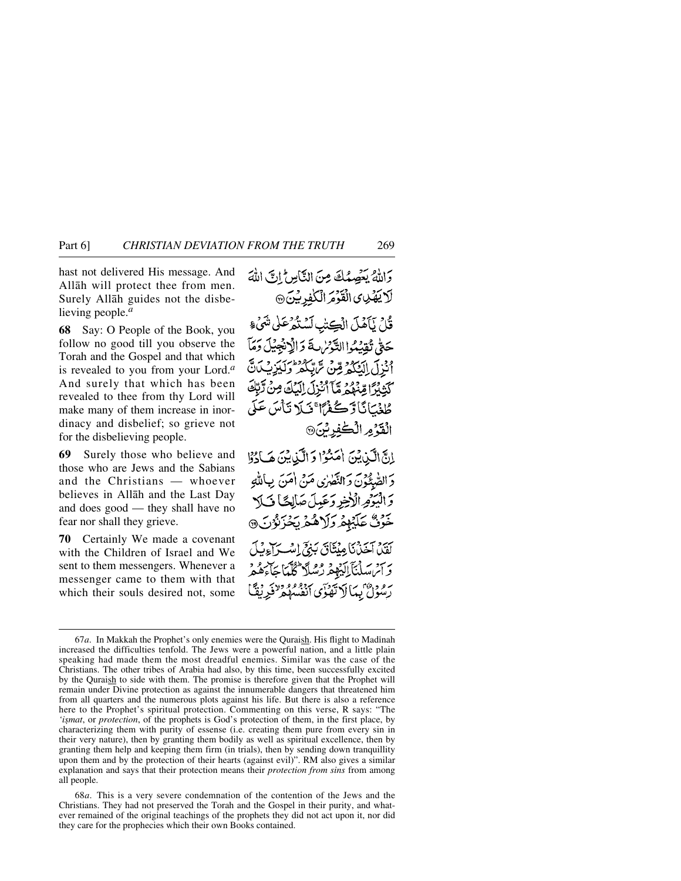## Part 6] *CHRISTIAN DEVIATION FROM THE TRUTH* 269

hast not delivered His message. And Allåh will protect thee from men. Surely Allåh guides not the disbelieving people.*<sup>a</sup>*

**68** Say: O People of the Book, you follow no good till you observe the Torah and the Gospel and that which is revealed to you from your Lord.*<sup>a</sup>* And surely that which has been revealed to thee from thy Lord will make many of them increase in inordinacy and disbelief; so grieve not for the disbelieving people.

**69** Surely those who believe and those who are Jews and the Sabians and the Christians — whoever believes in Allåh and the Last Day and does good — they shall have no fear nor shall they grieve.

**70** Certainly We made a covenant with the Children of Israel and We sent to them messengers. Whenever a messenger came to them with that which their souls desired not, some

وَاللَّهُ يَعْصِمُكَ مِنَ النَّاسِ إِنَّ اللَّهَ لَايَقِيْنِ الْقَوْمَ الْكَٰفِرِيْنَ @ قُارُ نَآَهُلَ الْڪِتِبِ لَيُسْتَعْرُعَلَى شَيْءٍ حَقٌّ تُقِيْدُ التَّدْسُ لَهَ وَالْانْجِيلَ دَمَاً أَنْنَ آرائِيَكُمْ مِّنْ تَرَاتِّكُمْ وَكَيْرَتْبَ لَيْقَ كَثِيْرًا قِنْهُمْ مَّآ أُنْزِلَ إِلَيۡكَ مِنۡ تَرَبِّكَ طْغُيَانَا رَّڪُغُرًا ۚ فَيلَا تَأْسَ عَلَى الْقَدُمِ الْكْفِرِيْنَ إِنَّ الَّذِينَ امَنُوْا وَ الَّذِينَ هَادُوْا دَ الصَّيْخُونَ وَ النَّصَٰرُى مَنْ امْنَ بِبِٱللَّهِ وَالْيَوْمِ الْأَخِرِ وَعَيِلَ صَلِكَا فَ كَلا خَوْنٌ عَلَيْهِمْ وَلَاهُمْ يَحْزَنُوْنَ ۞ كَفَيْنَ آخَيْنَ كَامِيْتَنَاقَ بَيْنِيِّ إِسْبَرَاءِنَبِكَ بِرِينِ سَلْمَنَآ إِلَيْهِمْ رُسُلًا كُلّْمَا حَاءِهُ وَ رودان بيالاتفاق، انفسه و<sup>و</sup>طونية ثمانية

<sup>67</sup>*a*. In Makkah the Prophet's only enemies were the Quraish. His flight to Madinah increased the difficulties tenfold. The Jews were a powerful nation, and a little plain speaking had made them the most dreadful enemies. Similar was the case of the Christians. The other tribes of Arabia had also, by this time, been successfully excited by the Quraish to side with them. The promise is therefore given that the Prophet will remain under Divine protection as against the innumerable dangers that threatened him from all quarters and the numerous plots against his life. But there is also a reference here to the Prophet's spiritual protection. Commenting on this verse, R says: "The 'ismat, or *protection*, of the prophets is God's protection of them, in the first place, by characterizing them with purity of essense (i.e. creating them pure from every sin in their very nature), then by granting them bodily as well as spiritual excellence, then by granting them help and keeping them firm (in trials), then by sending down tranquillity upon them and by the protection of their hearts (against evil)". RM also gives a similar explanation and says that their protection means their *protection from sins* from among all people.

<sup>68</sup>*a*. This is a very severe condemnation of the contention of the Jews and the Christians. They had not preserved the Torah and the Gospel in their purity, and whatever remained of the original teachings of the prophets they did not act upon it, nor did they care for the prophecies which their own Books contained.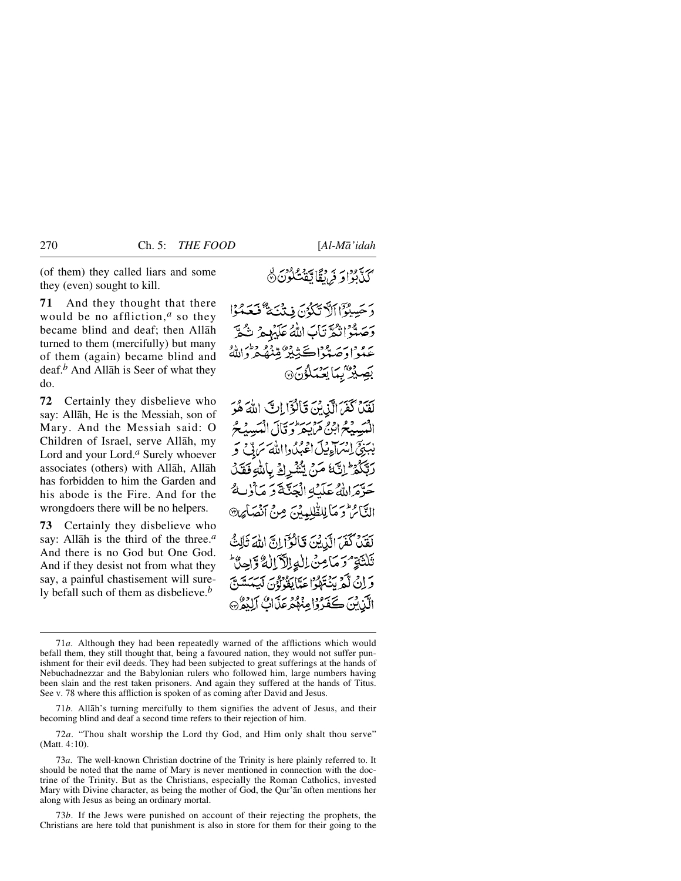(of them) they called liars and some they (even) sought to kill.

**71** And they thought that there would be no affliction,*<sup>a</sup>* so they became blind and deaf; then Allåh turned to them (mercifully) but many of them (again) became blind and deaf.*<sup>b</sup>* And Allåh is Seer of what they do.

**72** Certainly they disbelieve who say: Allåh, He is the Messiah, son of Mary. And the Messiah said: O Children of Israel, serve Allåh, my Lord and your Lord.*<sup>a</sup>* Surely whoever associates (others) with Allåh, Allåh has forbidden to him the Garden and his abode is the Fire. And for the wrongdoers there will be no helpers.

**73** Certainly they disbelieve who say: Allåh is the third of the three.*<sup>a</sup>* And there is no God but One God. And if they desist not from what they say, a painful chastisement will surely befall such of them as disbelieve.*<sup>b</sup>*

# يس ودي عداد من استقلاب<br>كيانوا**و في** بقايتق<sup>ت</sup> كون ۞

دَ حَسِبُوْٓا ٱلَّآ تَكَدُّنَ فِي نَيْسَةٌ فَيَعَدُوْا دَجَيتُوا نِكُوَّ نَابَ اللَّهُ عَلَيْهِمْ نِكُوَّ عبداوصة اڪنده مقنق وطن، بَصِيْرٌ بِيَا يَحْيَلُوْنَ @

لَفَنَٰ كُفَرَ الَّذِينَ قَالُوْٓا إِنَّ اللَّهَ هُوَ الْمَبِيبِيْحُ ابْنُ مَنْ يَحْرِ وَ قَالَ الْمَبِيبِيْحُ يْبَنِيِّ إِنْسَاءِ فِيلَ اعْبُدُوااللَّهَ سَرَدٌ فِي رِيَّكُمُ ۚ إِنَّ مَنْ يُنْشُرِكَ بِاللَّهِ فَقَلَ حَرَّمَ اللَّهُ عَلَيْهِ الْجَنَّةَ وَ مَأْلِيهِ التَّائِرُ وَ مَا لِلطَّلِمِينَ مِنْ أَنْهَدَا بِهِنَّ لَقَيْنَ كَفَرَ الَّذِيْنَ قَالَوْآ إِنَّ اللَّهَ ثَالِثٌ ثَلْثَةٍ مُوَمَا مِنْ اللَّهِ الْآَمَالُ وَاحِيٌّ بروج يحمح سنة ودرسة برودوسر<br>و إن لكرينتهكوا عدّاً يقولون ليستش الآن کی محمد دارود در در ده کرده

<sup>71</sup>*a*. Although they had been repeatedly warned of the afflictions which would befall them, they still thought that, being a favoured nation, they would not suffer punishment for their evil deeds. They had been subjected to great sufferings at the hands of Nebuchadnezzar and the Babylonian rulers who followed him, large numbers having been slain and the rest taken prisoners. And again they suffered at the hands of Titus. See v. 78 where this affliction is spoken of as coming after David and Jesus.

<sup>71</sup>*b*. Allåh's turning mercifully to them signifies the advent of Jesus, and their becoming blind and deaf a second time refers to their rejection of him.

<sup>72</sup>*a*. "Thou shalt worship the Lord thy God, and Him only shalt thou serve" (Matt. 4:10).

<sup>73</sup>*a*. The well-known Christian doctrine of the Trinity is here plainly referred to. It should be noted that the name of Mary is never mentioned in connection with the doctrine of the Trinity. But as the Christians, especially the Roman Catholics, invested Mary with Divine character, as being the mother of God, the Qur'ån often mentions her along with Jesus as being an ordinary mortal.

<sup>73</sup>*b*. If the Jews were punished on account of their rejecting the prophets, the Christians are here told that punishment is also in store for them for their going to the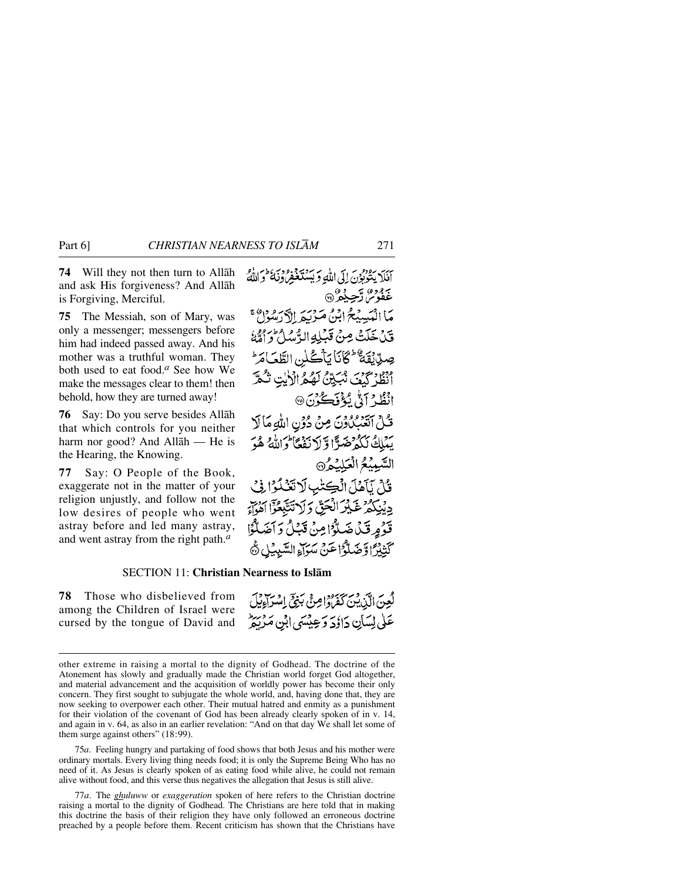**74** Will they not then turn to Allåh and ask His forgiveness? And Allåh is Forgiving, Merciful.

**75** The Messiah, son of Mary, was only a messenger; messengers before him had indeed passed away. And his mother was a truthful woman. They both used to eat food.*<sup>a</sup>* See how We make the messages clear to them! then behold, how they are turned away!

**76** Say: Do you serve besides Allåh that which controls for you neither harm nor good? And Allåh — He is the Hearing, the Knowing.

**77** Say: O People of the Book, exaggerate not in the matter of your religion unjustly, and follow not the low desires of people who went astray before and led many astray, and went astray from the right path.*<sup>a</sup>*

أَنَلَا يَتُوبُوْنَ إِلَى اللَّهِ وَبَسُنَغْفِرُوْنَ وَاللَّهُ <u>ځفوس ترحي</u>دي. مَا الْمَسِيْحُ ابْنُ مَرْيَهِ إِلَّا رَسُولُ قَدْ خَلَتْ مِنْ قَبْلِهِ الرَّسُلُ وَأَمَّةُ صِدِّيْقَةٌ ثَكَانَا يَأْكُلُنِ الطَّعَامَرَ \* أَنْظُرْ كَيْفَ نُبَيِّنٌ لَهُمُ الْأَيْتِ نُكْرً انْظُرْ آدٌّ يُؤْفَكُوْنَ® قُلْ اتْعَبّْلُاوَنَ مِنْ دُوْنِ اللَّهِ مَا لَا بِبْبَلِكَ نَكُوْضَرًا وَلَا نَفْعًا وَاللَّهُ هُوَ السَّيِيْعُ الْعَلِيْدُ® قُلْ يَآهُلَ الْكِتْبِ لَاتَّذَٰلُوْا فِي دِيْنِكُمْ غَيْرَ الْحَقِّ دَلَا تَتَّبَعُوْٓ اَهْوَاّ قَوْمٍ قَدْاً ضَلَّوْا مِنْ قَبْلُ وَ آَضَلُّوَا كَّتِيْرًا وَضَلُّوًّا عَنْ سَوَاءِ السَّبِيْلِ ۞

## SECTION 11: **Christian Nearness to Islåm**

**78** Those who disbelieved from among the Children of Israel were cursed by the tongue of David and لُعِنَ الَّذِينَ كَفَرَوْاصِنَّى بَنِيَّ إِسْرَاءِيْلَ عَلَىٰ لِسَأَنِ دَاؤُدَ وَعِيْسَىٰ ابْنِ مَدْرِيط

75*a*. Feeling hungry and partaking of food shows that both Jesus and his mother were ordinary mortals. Every living thing needs food; it is only the Supreme Being Who has no need of it. As Jesus is clearly spoken of as eating food while alive, he could not remain alive without food, and this verse thus negatives the allegation that Jesus is still alive.

77*a*. The *ghuluww* or *exaggeration* spoken of here refers to the Christian doctrine raising a mortal to the dignity of Godhead. The Christians are here told that in making this doctrine the basis of their religion they have only followed an erroneous doctrine preached by a people before them. Recent criticism has shown that the Christians have

other extreme in raising a mortal to the dignity of Godhead. The doctrine of the Atonement has slowly and gradually made the Christian world forget God altogether, and material advancement and the acquisition of worldly power has become their only concern. They first sought to subjugate the whole world, and, having done that, they are now seeking to overpower each other. Their mutual hatred and enmity as a punishment for their violation of the covenant of God has been already clearly spoken of in v. 14, and again in v. 64, as also in an earlier revelation: "And on that day We shall let some of them surge against others" (18:99).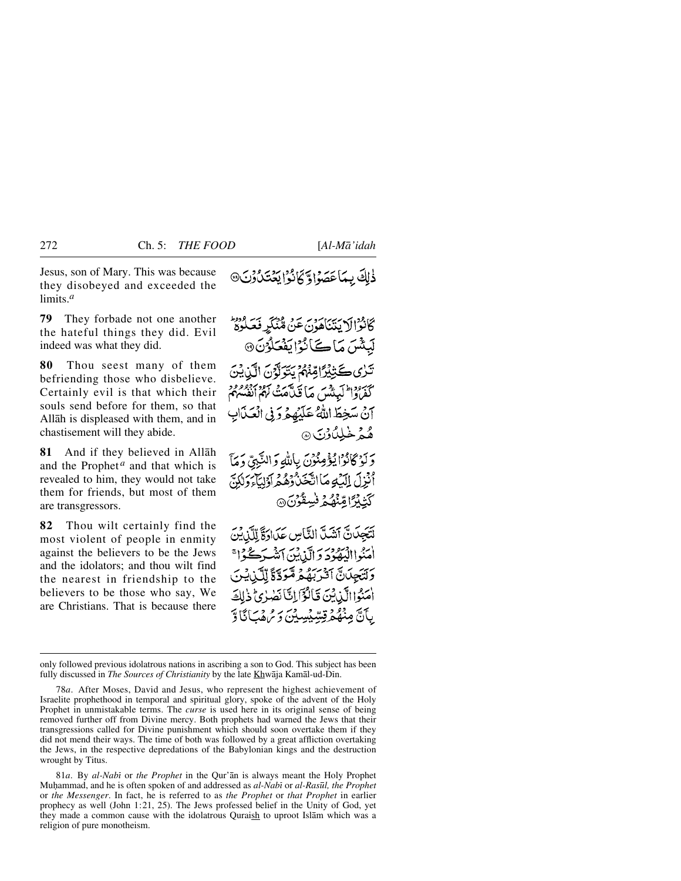Jesus, son of Mary. This was because they disobeyed and exceeded the limits.*<sup>a</sup>*

**79** They forbade not one another the hateful things they did. Evil indeed was what they did.

**80** Thou seest many of them befriending those who disbelieve. Certainly evil is that which their souls send before for them, so that Allåh is displeased with them, and in chastisement will they abide.

**81** And if they believed in Allåh and the Prophet<sup> $a$ </sup> and that which is revealed to him, they would not take them for friends, but most of them are transgressors.

**82** Thou wilt certainly find the most violent of people in enmity against the believers to be the Jews and the idolators; and thou wilt find the nearest in friendship to the believers to be those who say, We are Christians. That is because there ذٰلِكَ بِمَاعَصَوْاوَ كَانُوْا يَعۡتَدُونَ۞

كَانْزَالَا يَتَنَاهُونَ عَنْ مُنْكَرِ فَعَلُوهُ لَيِئْسَ مَاكَانُوْايَفْعَلُوْنَ @ تَرْىِكَتِيْتِرَاقِنَّهُمْ يَتَوَلَّوْنَ الَّذِينَ كَفَرْدُا لَيَكْتُبَ مَا قَبْلَهُمْ نَهُمْ أَنْفُسُهُمْ آنٌ سَخِطَ اللَّهُ عَلَيْهِمْ وَفِي الْعَذَابِ هُهُمْ خَيْلِيْ دِنِي ۞

وَلَوْكَانُوْا يُؤْمِنُونَ بِاللّهِ وَالنَّبِيّ وَمَآ أُنْزِلَ الْكَبُومَا أَتَّخَنُّ دُهُمْ أَوْلِيَآْءَ وَلَٰكِنَّ ؘڮٙؿۣڋؘۣٵڡۣۨڹؙۿؙۮؚ۬<sup>ۏٚڛ</sup>ۣڟ۫ۯؘؽ۞

لَنَجِيَانَّ أَشَيِّ الثَّاسِ عَبَادَةً لِلَّيْ يُنَ اٰ مَنُواالۡيَٰهُوۡدَ وَالَّذِيۡنَ ٱتَّشَرَكُوۡا ۚ وَلْتَجِلَانَّ آَثَرَ بَهُمْ مُّوَدَّةً لِّلَّذِينَ امَنُوا الَّذِينَ قَالُؤَالِكَانَصْرُئِ ذَٰلِكَ بِآَنَّ مِنْهُمْ قِسِّيْسِيْنَ وَمُهْمَىٰ نَاوَّ

81*a*. By *al-Nabß* or *the Prophet* in the Qur'ån is always meant the Holy Prophet Mu√ammad, and he is often spoken of and addressed as *al-Nabß* or *al-Ras∂l, the Prophet* or *the Messenger*. In fact, he is referred to as *the Prophet* or *that Prophet* in earlier prophecy as well (John 1:21, 25). The Jews professed belief in the Unity of God, yet they made a common cause with the idolatrous Quraish to uproot Islåm which was a religion of pure monotheism.

only followed previous idolatrous nations in ascribing a son to God. This subject has been fully discussed in *The Sources of Christianity* by the late Khwaja Kamal-ud-Din.

<sup>78</sup>*a*. After Moses, David and Jesus, who represent the highest achievement of Israelite prophethood in temporal and spiritual glory, spoke of the advent of the Holy Prophet in unmistakable terms. The *curse* is used here in its original sense of being removed further off from Divine mercy. Both prophets had warned the Jews that their transgressions called for Divine punishment which should soon overtake them if they did not mend their ways. The time of both was followed by a great affliction overtaking the Jews, in the respective depredations of the Babylonian kings and the destruction wrought by Titus.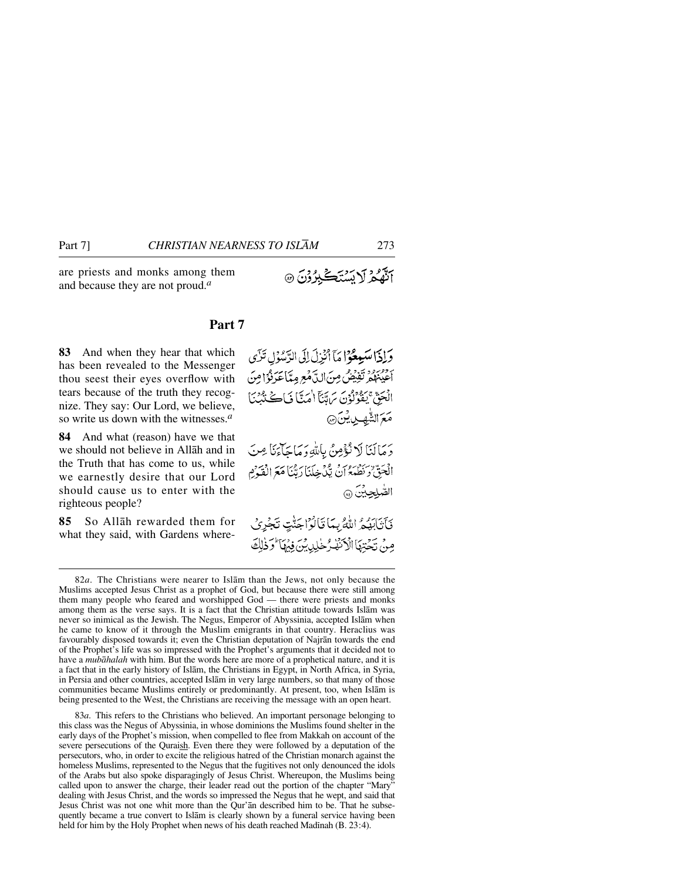are priests and monks among them and because they are not proud.*<sup>a</sup>*

# **Part 7**

**83** And when they hear that which has been revealed to the Messenger thou seest their eyes overflow with tears because of the truth they recognize. They say: Our Lord, we believe, so write us down with the witnesses.*<sup>a</sup>*

**84** And what (reason) have we that we should not believe in Allåh and in the Truth that has come to us, while we earnestly desire that our Lord should cause us to enter with the righteous people?

**85** So Allåh rewarded them for what they said, with Gardens where-

وَلِذَا سَيِعْوُا مَآ أَنْزِلَ لِلَى الرَّسُوۡلِ تَزَى أَحْيَنْهُمْ تَفِيْضُ مِنَ الدَّهْعِ مِيَّا عَرَفُوْا مِنَ الْجَقِّ يَفْوُلُوْنَ سَاتِّنَآ اٰ مَتَّا فَبَاكَ نَدُّبُّنَآ ا **مَعَ** الشَّهبِ بِايْنَ۞ دَمَانَنَا لَا نُؤْمِنُ بِإِلَّٰهِ دَمَاجَاً بِمَا يَجْ مِنَ الْحَقّْ دِكْنِيْهِمْ وَإِنَّ يَكْدَخِلَنَا رَبَّنَا مَعَ الْفَكْرَمِ الصُّلجينَ ۞ فَأَنَابَهُمْ اللَّهُ بِمَا قَالُوْاجَنَّتِ تَجْرِيُ مِنْ تَحْتِهَا الْأَنْفُرُخْلِدِينَ فِيُهَا وَذٰلِكَ

83*a*. This refers to the Christians who believed. An important personage belonging to this class was the Negus of Abyssinia, in whose dominions the Muslims found shelter in the early days of the Prophet's mission, when compelled to flee from Makkah on account of the severe persecutions of the Quraish. Even there they were followed by a deputation of the persecutors, who, in order to excite the religious hatred of the Christian monarch against the homeless Muslims, represented to the Negus that the fugitives not only denounced the idols of the Arabs but also spoke disparagingly of Jesus Christ. Whereupon, the Muslims being called upon to answer the charge, their leader read out the portion of the chapter "Mary" dealing with Jesus Christ, and the words so impressed the Negus that he wept, and said that Jesus Christ was not one whit more than the Qur'ån described him to be. That he subsequently became a true convert to Islåm is clearly shown by a funeral service having been held for him by the Holy Prophet when news of his death reached Madinah (B. 23:4).

آنَّهُمْ لَا بَسْتَكَبِّرُوْنَ ۞

<sup>82</sup>*a*. The Christians were nearer to Islåm than the Jews, not only because the Muslims accepted Jesus Christ as a prophet of God, but because there were still among them many people who feared and worshipped God — there were priests and monks among them as the verse says. It is a fact that the Christian attitude towards Islåm was never so inimical as the Jewish. The Negus, Emperor of Abyssinia, accepted Islåm when he came to know of it through the Muslim emigrants in that country. Heraclius was favourably disposed towards it; even the Christian deputation of Najrån towards the end of the Prophet's life was so impressed with the Prophet's arguments that it decided not to have a *mubåhalah* with him. But the words here are more of a prophetical nature, and it is a fact that in the early history of Islåm, the Christians in Egypt, in North Africa, in Syria, in Persia and other countries, accepted Islåm in very large numbers, so that many of those communities became Muslims entirely or predominantly. At present, too, when Islåm is being presented to the West, the Christians are receiving the message with an open heart.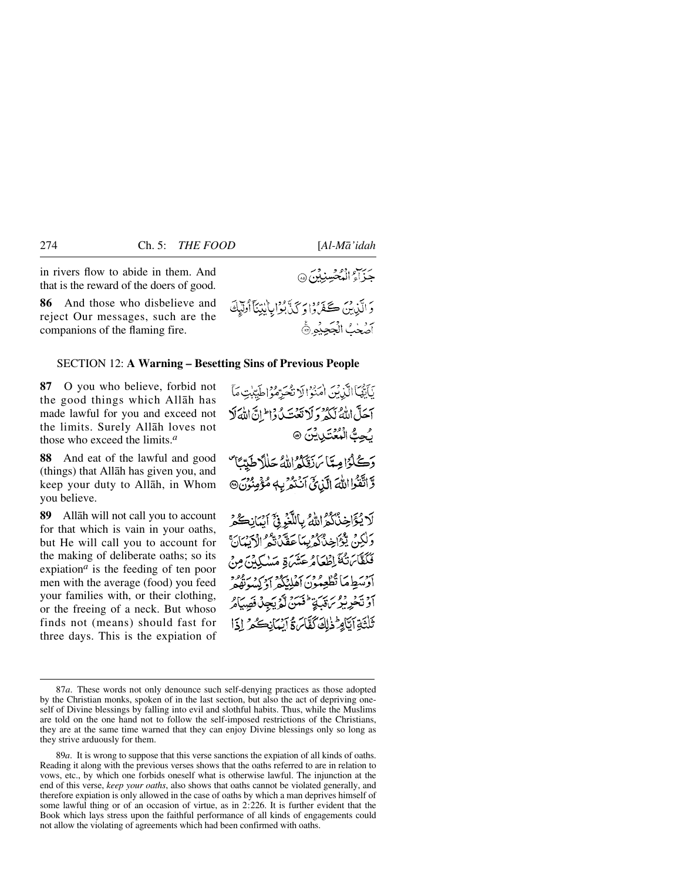حزاء المُحْسنِدْنَ ۞

in rivers flow to abide in them. And that is the reward of the doers of good.

**86** And those who disbelieve and reject Our messages, such are the companions of the flaming fire.

#### SECTION 12: **A Warning – Besetting Sins of Previous People**

**87** O you who believe, forbid not the good things which Allåh has made lawful for you and exceed not the limits. Surely Allåh loves not those who exceed the limits.*<sup>a</sup>*

**88** And eat of the lawful and good (things) that Allåh has given you, and keep your duty to Allåh, in Whom you believe.

**89** Allåh will not call you to account for that which is vain in your oaths, but He will call you to account for the making of deliberate oaths; so its expiation*<sup>a</sup>* is the feeding of ten poor men with the average (food) you feed your families with, or their clothing, or the freeing of a neck. But whoso finds not (means) should fast for three days. This is the expiation of دَ الَّذِينَ كَمَعَ وَا دَكَنَّ بُوۡرَابِاٰلِيۡنَآ أُوَلَيۡكَ أصحك الججيده

نَأَيُّهَا الَّذِبْنَ اٰمَنُوۡ! لَا نُعُبَرُوۡ وَاطَیِّبٰتِ مَأَ آحَلَّ اللَّهُ لَكُمْ وَلَا تَعَتَّدُ دَا إِنَّ اللَّهَ لَا رُجِتُ الْمُعْتَدِينَنَ ۞ دَكْبُوْامِيَّا بِرَدِّيُّوْ اللَّهُ حَلَلاً طَدِّيَّا مُنْ وَ اتَّقَوْا اللَّهَ الَّذِيَّ اَنْتَمُّرْ بِهِ مُؤْمِنُونَ® لَايُؤَاخِذُكُمُ اللَّهُ بِاللَّّذِيَّ أَيُبَانِكُمْ وَلَٰكِنۡ يَتَوۡأَخِذُكُمۡ بِبِيَآ عَقَّدۡ يَقُو إِذۡ بِهِ إِلَيۡ يَ فَكَفَّابَتْكَ إِطْعَامُ عَشَرَةٍ مَسْكِينَ مِنْ برريا ما تطعمون كما بروير ريز ديور<br>اوسط ما تطعمون أهليكر أويسونهمر أَوْ تَخْرِبِيْرِ بِنَ يَدْ اِنِّهُمْ لَّهُمْ يَجِهْدُفَصَدَاهُ تَلْتَةِ آتَامِ ثَذٰلِكَ كَفَّائٍ ةُ آسُيَانِكُمْ [ذَا

89*a*. It is wrong to suppose that this verse sanctions the expiation of all kinds of oaths. Reading it along with the previous verses shows that the oaths referred to are in relation to vows, etc., by which one forbids oneself what is otherwise lawful. The injunction at the end of this verse, *keep your oaths*, also shows that oaths cannot be violated generally, and therefore expiation is only allowed in the case of oaths by which a man deprives himself of some lawful thing or of an occasion of virtue, as in 2:226. It is further evident that the Book which lays stress upon the faithful performance of all kinds of engagements could not allow the violating of agreements which had been confirmed with oaths.

<sup>87</sup>*a*. These words not only denounce such self-denying practices as those adopted by the Christian monks, spoken of in the last section, but also the act of depriving oneself of Divine blessings by falling into evil and slothful habits. Thus, while the Muslims are told on the one hand not to follow the self-imposed restrictions of the Christians, they are at the same time warned that they can enjoy Divine blessings only so long as they strive arduously for them.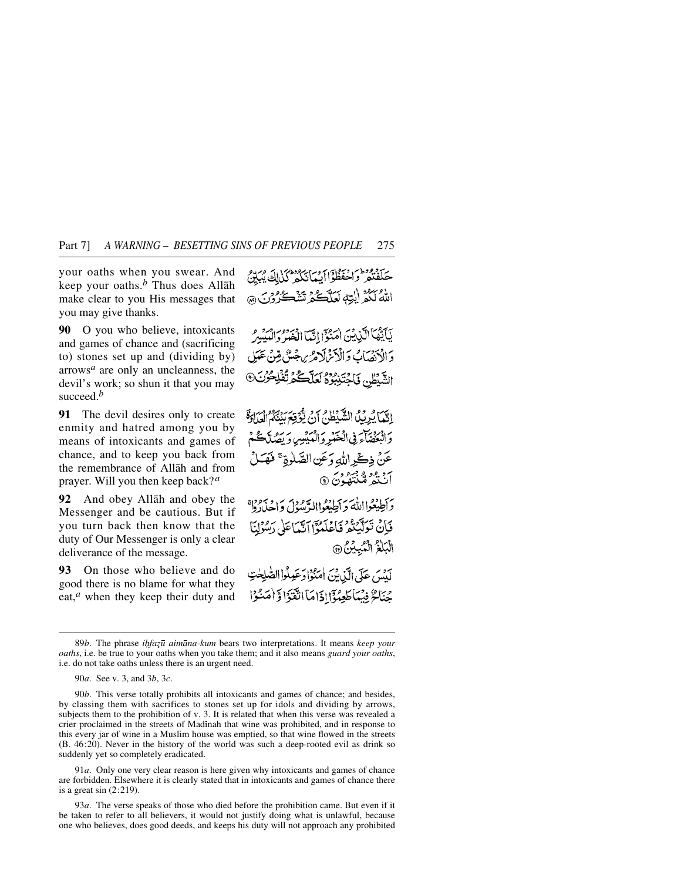your oaths when you swear. And keep your oaths.*<sup>b</sup>* Thus does Allåh make clear to you His messages that you may give thanks.

**90** O you who believe, intoxicants and games of chance and (sacrificing to) stones set up and (dividing by) arrows*<sup>a</sup>* are only an uncleanness, the devil's work; so shun it that you may succeed.*<sup>b</sup>*

**91** The devil desires only to create enmity and hatred among you by means of intoxicants and games of chance, and to keep you back from the remembrance of Allåh and from prayer. Will you then keep back?*<sup>a</sup>*

**92** And obey Allåh and obey the Messenger and be cautious. But if you turn back then know that the duty of Our Messenger is only a clear deliverance of the message.

**93** On those who believe and do good there is no blame for what they eat,*<sup>a</sup>* when they keep their duty and حكفتعر واحفظواأية بانكر وهمزال مردو اللهُ لَكُمْ إِيْتِهِ لَعَلَّكُمْ تَشْكُرُوْنَ ۞

يَأَيُّهُآ الَّذِينَ اٰمَنُوٓ إِنَّهَآ اِنۡيَٰٓ وَمِنۡ وَالۡبَيۡبِيرَ دَ ادْبَيْسَابُ وَالْذَنْزَلَاهُ بِرِجْيَنٌ مِّنْ عَبَيْ الشَّيْطِنِ فَاجْتَنِبُوَهُ لَعَلَّكُمْ تُفْلِحُونَ

الِّيَّ) يُرِيِّلُ الشَّيْطُنُ أَنْ يُؤْقِعَ بَيْنَكُمُ الْعَلَادَةَ والبغضاء في الْعَمْدِ وَالْمَدِينِ وَ يَصُلَّكُمْ عَنْ ذِكْرِ اللَّهِ وَعَنِ الصَّلَوةِ ۚ فَهَـَـٰلُ آنَنْهُ مُنْتَعُدُنَ ۞

برادي الله وأطيعواالرسول واحدواه فَإِنْ تَعَلَّيْتُمْ فَأَعْلَمُوْٓا آتَيْمَاعَلَىٰ رَسُوْلِنَا الْبَلْغُ الْمُبِيْنُ ۞

لَدْيَنِ عَلَى الَّذِينَ اٰ يَبْوَادَ عَعِدْكُوا الصَّلِحٰتِ جُنَاحٌ فِيْمَاطَعِيُّذَانَاهَا انْقَنَوْا وَّامْتُنُوْا

91*a*. Only one very clear reason is here given why intoxicants and games of chance are forbidden. Elsewhere it is clearly stated that in intoxicants and games of chance there is a great sin (2:219).

93*a*. The verse speaks of those who died before the prohibition came. But even if it be taken to refer to all believers, it would not justify doing what is unlawful, because one who believes, does good deeds, and keeps his duty will not approach any prohibited

<sup>89</sup>*b*. The phrase *ihfazū* aimāna-kum bears two interpretations. It means keep your *oaths*, i.e. be true to your oaths when you take them; and it also means *guard your oaths*, i.e. do not take oaths unless there is an urgent need.

<sup>90</sup>*a*. See v. 3, and 3*b*, 3*c*.

<sup>90</sup>*b*. This verse totally prohibits all intoxicants and games of chance; and besides, by classing them with sacrifices to stones set up for idols and dividing by arrows, subjects them to the prohibition of v. 3. It is related that when this verse was revealed a crier proclaimed in the streets of Madinah that wine was prohibited, and in response to this every jar of wine in a Muslim house was emptied, so that wine flowed in the streets (B. 46:20). Never in the history of the world was such a deep-rooted evil as drink so suddenly yet so completely eradicated.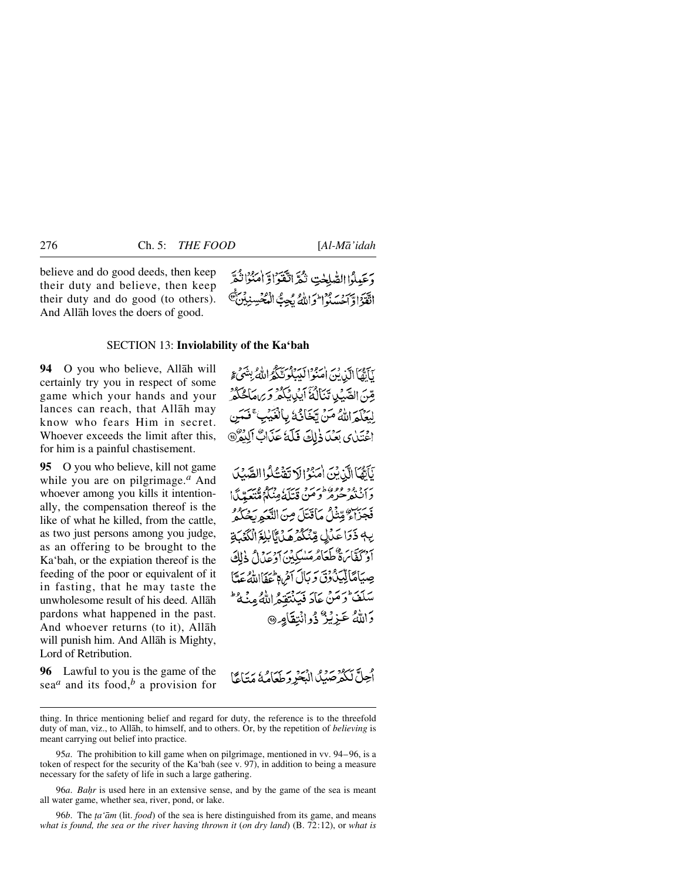believe and do good deeds, then keep their duty and believe, then keep their duty and do good (to others). And Allåh loves the doers of good.

وَعَيلُوا الصّْلَحْتِ تْكُرَّ اتّْقَوْاوَّ امْنُوَا نُبِّرَ اتَقَدَّاوٌ أَحْسَبُوا أَوَ إِلَّهُ بِحِبٌّ

## SECTION 13: **Inviolability of the Ka'bah**

**94** O you who believe, Allåh will certainly try you in respect of some game which your hands and your lances can reach, that Allåh may know who fears Him in secret. Whoever exceeds the limit after this, for him is a painful chastisement.

**95** O you who believe, kill not game while you are on pilgrimage.*<sup>a</sup>* And whoever among you kills it intentionally, the compensation thereof is the like of what he killed, from the cattle, as two just persons among you judge, as an offering to be brought to the Ka'bah, or the expiation thereof is the feeding of the poor or equivalent of it in fasting, that he may taste the unwholesome result of his deed. Allåh pardons what happened in the past. And whoever returns (to it), Allåh will punish him. And Allåh is Mighty, Lord of Retribution.

**96** Lawful to you is the game of the sea*<sup>a</sup>* and its food,*<sup>b</sup>* a provision for

نَأَهُّمَا الَّذِينَ اٰ يَبْوُا لَبَيَكُونَّكُمُ اللَّهُ بِشَيْءٍ مِّينَ الصَّبِّيدِ تَنَالُثَةَ آيِدِينَكُمْ وَيَرِيعَا كُنَكُمْ لِبَعَلَمَ اللَّهُ مَنْ تَجْأَنُهُ بِالْغَيْبِ ۚ فَعَمَن الْحِتَيْنِ مِيْكَ ذَلِكَ فَلَكَ عَذَابٌ آلِدُرٌ @

يَأَيَّهُا الَّذِيْنَ امْنُوْالَا تَقْتُلُوا الصَّيْلَ بَرَجَ وَوَوَوَظَنَّ وَتَذَكَّبَهُ مِنْكُمُ مُّتَعَبِّينًا! فَجَنَّاءٌ مِّنْنُلُ مَاقَتَلَ مِنَ النَّعَمَ بَحْكُمُ يِّ ذَرَا عَدَلِ مِّنْكُمْ مِّدَىٰٓا لِلَّهِ ٱلْكَمَّكَ بِهِ بِهَا بِنَ وَعَلَىٰ مِنْ مِنْ بِهِ بِهِ بِهِ بِهِ الْإِلَىٰ<br>أَدْ كَفَّاسَةٌ طَعَامُرْمَنْدِكِينِ أَوْعَدُلُ ذٰلِكَ صِيَاهَالِيِّيَنُ وَقَ وَبَالَ آمَٰ وَغَفَااللَّهُ عَيَّا سَلَفَ وَمَنْ عَادَ فَبَيْنَقُعْهِ اللَّهُ مِنْهُ ۖ دَاللَّهُ عَبْزِيْنٌ ذُوانَتِقَامِرِ۞

أجِلَّ لَكُمْرَصِّيْكَ الْبَحْرِ وَطَعَامُهُ مَتَاعًا

96*a*. *Bahr* is used here in an extensive sense, and by the game of the sea is meant all water game, whether sea, river, pond, or lake.

96*b*. The *ța* ' $\bar{a}$ m (lit. *food*) of the sea is here distinguished from its game, and means *what is found, the sea or the river having thrown it* (*on dry land*) (B. 72:12), or *what is*

thing. In thrice mentioning belief and regard for duty, the reference is to the threefold duty of man, viz., to Allåh, to himself, and to others. Or, by the repetition of *believing* is meant carrying out belief into practice.

<sup>95</sup>*a*. The prohibition to kill game when on pilgrimage, mentioned in vv. 94–96, is a token of respect for the security of the Ka'bah (see v. 97), in addition to being a measure necessary for the safety of life in such a large gathering.